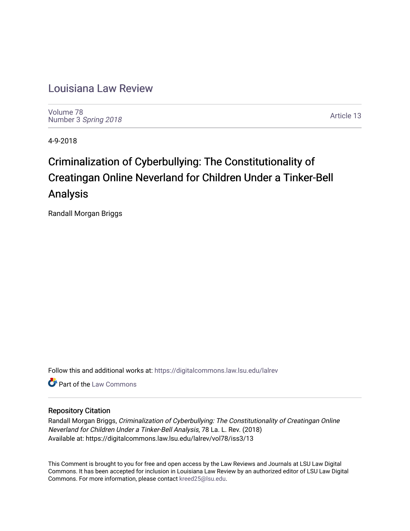# [Louisiana Law Review](https://digitalcommons.law.lsu.edu/lalrev)

[Volume 78](https://digitalcommons.law.lsu.edu/lalrev/vol78) Number 3 [Spring 2018](https://digitalcommons.law.lsu.edu/lalrev/vol78/iss3) 

[Article 13](https://digitalcommons.law.lsu.edu/lalrev/vol78/iss3/13) 

4-9-2018

# Criminalization of Cyberbullying: The Constitutionality of Creatingan Online Neverland for Children Under a Tinker-Bell Analysis

Randall Morgan Briggs

Follow this and additional works at: [https://digitalcommons.law.lsu.edu/lalrev](https://digitalcommons.law.lsu.edu/lalrev?utm_source=digitalcommons.law.lsu.edu%2Flalrev%2Fvol78%2Fiss3%2F13&utm_medium=PDF&utm_campaign=PDFCoverPages)

**C** Part of the [Law Commons](http://network.bepress.com/hgg/discipline/578?utm_source=digitalcommons.law.lsu.edu%2Flalrev%2Fvol78%2Fiss3%2F13&utm_medium=PDF&utm_campaign=PDFCoverPages)

# Repository Citation

Randall Morgan Briggs, Criminalization of Cyberbullying: The Constitutionality of Creatingan Online Neverland for Children Under a Tinker-Bell Analysis, 78 La. L. Rev. (2018) Available at: https://digitalcommons.law.lsu.edu/lalrev/vol78/iss3/13

This Comment is brought to you for free and open access by the Law Reviews and Journals at LSU Law Digital Commons. It has been accepted for inclusion in Louisiana Law Review by an authorized editor of LSU Law Digital Commons. For more information, please contact [kreed25@lsu.edu](mailto:kreed25@lsu.edu).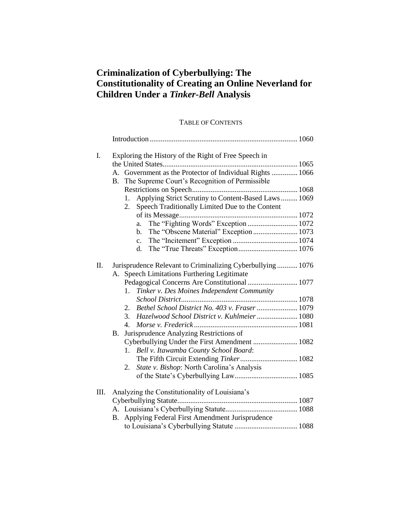# **Criminalization of Cyberbullying: The Constitutionality of Creating an Online Neverland for Children Under a** *Tinker***-***Bell* **Analysis**

# TABLE OF CONTENTS

| I. | Exploring the History of the Right of Free Speech in<br>Government as the Protector of Individual Rights  1066<br>$A_{-}$<br>The Supreme Court's Recognition of Permissible<br>Β.<br>Applying Strict Scrutiny to Content-Based Laws 1069<br>1.<br>Speech Traditionally Limited Due to the Content<br>2.<br>The "Fighting Words" Exception  1072<br>a.                                                                                                                                                                                 |
|----|---------------------------------------------------------------------------------------------------------------------------------------------------------------------------------------------------------------------------------------------------------------------------------------------------------------------------------------------------------------------------------------------------------------------------------------------------------------------------------------------------------------------------------------|
|    | The "Obscene Material" Exception 1073<br>b.                                                                                                                                                                                                                                                                                                                                                                                                                                                                                           |
|    | $\mathbf{c}$ .                                                                                                                                                                                                                                                                                                                                                                                                                                                                                                                        |
|    | d.                                                                                                                                                                                                                                                                                                                                                                                                                                                                                                                                    |
| Π. | Jurisprudence Relevant to Criminalizing Cyberbullying  1076<br>Speech Limitations Furthering Legitimate<br>A.<br>Pedagogical Concerns Are Constitutional  1077<br>Tinker v. Des Moines Independent Community<br>1.<br>Bethel School District No. 403 v. Fraser  1079<br>2.<br>3.<br>Hazelwood School District v. Kuhlmeier  1080<br>4.<br>Jurisprudence Analyzing Restrictions of<br>B.<br>Bell v. Itawamba County School Board:<br>1.<br>The Fifth Circuit Extending Tinker 1082<br>State v. Bishop: North Carolina's Analysis<br>2. |
| Ш. | Analyzing the Constitutionality of Louisiana's                                                                                                                                                                                                                                                                                                                                                                                                                                                                                        |
|    |                                                                                                                                                                                                                                                                                                                                                                                                                                                                                                                                       |
|    |                                                                                                                                                                                                                                                                                                                                                                                                                                                                                                                                       |
|    | Applying Federal First Amendment Jurisprudence<br>B.                                                                                                                                                                                                                                                                                                                                                                                                                                                                                  |
|    |                                                                                                                                                                                                                                                                                                                                                                                                                                                                                                                                       |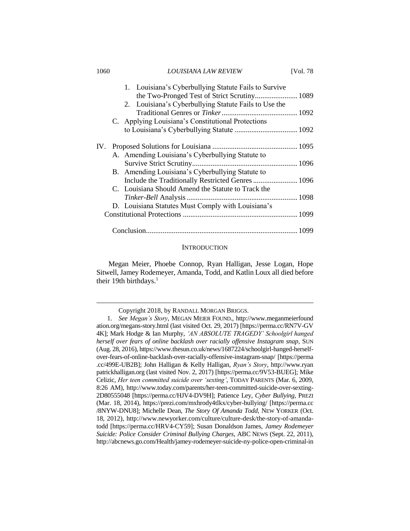| 1060 | <i>LOUISIANA LAW REVIEW</i>                                                                           | [Vol. 78 |
|------|-------------------------------------------------------------------------------------------------------|----------|
|      | 1. Louisiana's Cyberbullying Statute Fails to Survive<br>the Two-Pronged Test of Strict Scrutiny 1089 |          |
|      | 2. Louisiana's Cyberbullying Statute Fails to Use the                                                 |          |
|      |                                                                                                       |          |
|      | C. Applying Louisiana's Constitutional Protections                                                    |          |
|      |                                                                                                       |          |
| IV.  |                                                                                                       |          |
|      | A. Amending Louisiana's Cyberbullying Statute to                                                      |          |
|      |                                                                                                       |          |
|      | B. Amending Louisiana's Cyberbullying Statute to                                                      |          |
|      |                                                                                                       |          |
|      | C. Louisiana Should Amend the Statute to Track the                                                    |          |
|      |                                                                                                       |          |
|      | D. Louisiana Statutes Must Comply with Louisiana's                                                    |          |
|      |                                                                                                       |          |
|      |                                                                                                       |          |

#### **INTRODUCTION**

Conclusion.................................................................................. 1099

Megan Meier, Phoebe Connop, Ryan Halligan, Jesse Logan, Hope Sitwell, Jamey Rodemeyer, Amanda, Todd, and Katlin Loux all died before their 19th birthdays.<sup>1</sup>

Copyright 2018, by RANDALL MORGAN BRIGGS.

<sup>1.</sup> *See Megan's Story*, MEGAN MEIER FOUND., http://www.meganmeierfound ation.org/megans-story.html (last visited Oct. 29, 2017) [https://perma.cc/RN7V-GV 4K]; Mark Hodge & Ian Murphy, *'AN ABSOLUTE TRAGEDY' Schoolgirl hanged herself over fears of online backlash over racially offensive Instagram snap*, SUN (Aug. 28, 2016), https://www.thesun.co.uk/news/1687224/schoolgirl-hanged-herselfover-fears-of-online-backlash-over-racially-offensive-instagram-snap/ [https://perma .cc/499E-UB2B]; John Halligan & Kelly Halligan, *Ryan's Story*, http://www.ryan patrickhalligan.org (last visited Nov. 2, 2017) [https://perma.cc/9V53-BUEG]; Mike Celizic, *Her teen committed suicide over 'sexting'*, TODAY PARENTS (Mar. 6, 2009, 8:26 AM), http://www.today.com/parents/her-teen-committed-suicide-over-sexting-2D80555048 [https://perma.cc/HJV4-DV9H]; Patience Ley, *Cyber Bullying*, PREZI (Mar. 18, 2014), https://prezi.com/mxhrody4tlkx/cyber-bullying/ [https://perma.cc /8NYW-DNU8]; Michelle Dean, *The Story Of Amanda Todd*, NEW YORKER (Oct. 18, 2012), http://www.newyorker.com/culture/culture-desk/the-story-of-amandatodd [https://perma.cc/HRV4-CY59]; Susan Donaldson James, *Jamey Rodemeyer Suicide: Police Consider Criminal Bullying Charges*, ABC NEWS (Sept. 22, 2011), http://abcnews.go.com/Health/jamey-rodemeyer-suicide-ny-police-open-criminal-in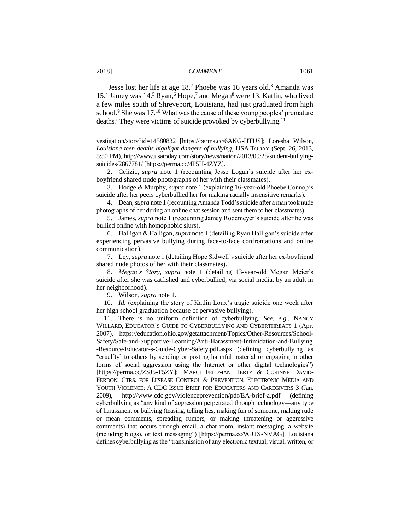Jesse lost her life at age 18<sup>2</sup> Phoebe was 16 years old.<sup>3</sup> Amanda was 15.<sup>4</sup> Jamey was 14.<sup>5</sup> Ryan,<sup>6</sup> Hope,<sup>7</sup> and Megan<sup>8</sup> were 13. Katlin, who lived a few miles south of Shreveport, Louisiana, had just graduated from high school.<sup>9</sup> She was 17.<sup>10</sup> What was the cause of these young peoples' premature deaths? They were victims of suicide provoked by cyberbullying.<sup>11</sup>

vestigation/story?id=14580832 [https://perma.cc/6AKG-HTUS]; Loresha Wilson, *Louisiana teen deaths highlight dangers of bullying*, USA TODAY (Sept. 26, 2013, 5:50 PM), http://www.usatoday.com/story/news/nation/2013/09/25/student-bullyingsuicides/2867781/ [https://perma.cc/4P5H-4ZYZ].

2. Celizic, *supra* note 1 (recounting Jesse Logan's suicide after her exboyfriend shared nude photographs of her with their classmates).

3. Hodge & Murphy, *supra* note 1 (explaining 16-year-old Phoebe Connop's suicide after her peers cyberbullied her for making racially insensitive remarks).

4. Dean,*supra* note 1 (recounting Amanda Todd's suicide after a man took nude photographs of her during an online chat session and sent them to her classmates).

5. James, *supra* note 1 (recounting Jamey Rodemeyer's suicide after he was bullied online with homophobic slurs).

6. Halligan & Halligan, *supra* note 1 (detailing Ryan Halligan's suicide after experiencing pervasive bullying during face-to-face confrontations and online communication).

7. Ley, *supra* note 1 (detailing Hope Sidwell's suicide after her ex-boyfriend shared nude photos of her with their classmates).

8. *Megan's Story*, *supra* note 1 (detailing 13-year-old Megan Meier's suicide after she was catfished and cyberbullied, via social media, by an adult in her neighborhood).

9. Wilson, *supra* note 1.

10. *Id.* (explaining the story of Katlin Loux's tragic suicide one week after her high school graduation because of pervasive bullying).

11. There is no uniform definition of cyberbullying. *See, e.g.*, NANCY WILLARD, EDUCATOR'S GUIDE TO CYBERBULLYING AND CYBERTHREATS 1 (Apr. 2007), https://education.ohio.gov/getattachment/Topics/Other-Resources/School-Safety/Safe-and-Supportive-Learning/Anti-Harassment-Intimidation-and-Bullying -Resource/Educator-s-Guide-Cyber-Safety.pdf.aspx (defining cyberbullying as "cruel[ty] to others by sending or posting harmful material or engaging in other forms of social aggression using the Internet or other digital technologies") [https://perma.cc/ZSJ5-T5ZY]; MARCI FELDMAN HERTZ & CORINNE DAVID-FERDON, CTRS. FOR DISEASE CONTROL & PREVENTION, ELECTRONIC MEDIA AND YOUTH VIOLENCE: A CDC ISSUE BRIEF FOR EDUCATORS AND CAREGIVERS 3 (Jan. 2009), http://www.cdc.gov/violenceprevention/pdf/EA-brief-a.pdf (defining cyberbullying as "any kind of aggression perpetrated through technology—any type of harassment or bullying (teasing, telling lies, making fun of someone, making rude or mean comments, spreading rumors, or making threatening or aggressive comments) that occurs through email, a chat room, instant messaging, a website (including blogs), or text messaging") [https://perma.cc/9GUX-NVAG]. Louisiana defines cyberbullying as the "transmission of any electronic textual, visual, written, or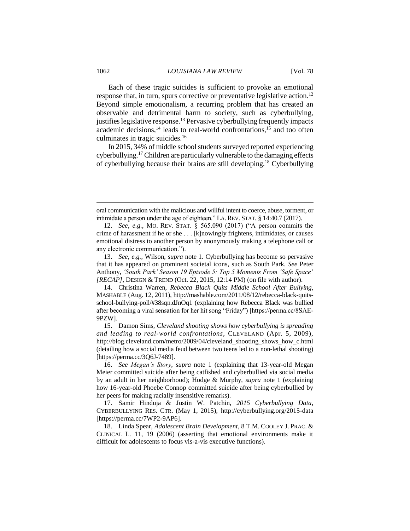Each of these tragic suicides is sufficient to provoke an emotional response that, in turn, spurs corrective or preventative legislative action.<sup>12</sup> Beyond simple emotionalism, a recurring problem that has created an observable and detrimental harm to society, such as cyberbullying, justifies legislative response.<sup>13</sup> Pervasive cyberbullying frequently impacts academic decisions, $<sup>14</sup>$  leads to real-world confrontations, $<sup>15</sup>$  and too often</sup></sup> culminates in tragic suicides.<sup>16</sup>

In 2015, 34% of middle school students surveyed reported experiencing cyberbullying.<sup>17</sup> Children are particularly vulnerable to the damaging effects of cyberbullying because their brains are still developing.<sup>18</sup> Cyberbullying

oral communication with the malicious and willful intent to coerce, abuse, torment, or intimidate a person under the age of eighteen." LA. REV. STAT. § 14:40.7 (2017).

<sup>12.</sup> *See, e.g.*, MO. REV. STAT. § 565.090 (2017) ("A person commits the crime of harassment if he or she . . . [k]nowingly frightens, intimidates, or causes emotional distress to another person by anonymously making a telephone call or any electronic communication.").

<sup>13.</sup> *See, e.g.*, Wilson, *supra* note 1. Cyberbullying has become so pervasive that it has appeared on prominent societal icons, such as South Park. *See* Peter Anthony, *'South Park' Season 19 Episode 5: Top 5 Moments From 'Safe Space' [RECAP]*, DESIGN & TREND (Oct. 22, 2015, 12:14 PM) (on file with author).

<sup>14.</sup> Christina Warren, *Rebecca Black Quits Middle School After Bullying*, MASHABLE (Aug. 12, 2011), http://mashable.com/2011/08/12/rebecca-black-quitsschool-bullying-poll/#38sqn.dJnOq1 (explaining how Rebecca Black was bullied after becoming a viral sensation for her hit song "Friday") [https://perma.cc/8SAE-9PZW].

<sup>15.</sup> Damon Sims, *Cleveland shooting shows how cyberbullying is spreading and leading to real-world confrontations*, CLEVELAND (Apr. 5, 2009), http://blog.cleveland.com/metro/2009/04/cleveland\_shooting\_shows\_how\_c.html (detailing how a social media feud between two teens led to a non-lethal shooting) [https://perma.cc/3Q6J-7489].

<sup>16.</sup> *See Megan's Story*, *supra* note 1 (explaining that 13-year-old Megan Meier committed suicide after being catfished and cyberbullied via social media by an adult in her neighborhood); Hodge & Murphy, *supra* note 1 (explaining how 16-year-old Phoebe Connop committed suicide after being cyberbullied by her peers for making racially insensitive remarks).

<sup>17.</sup> Samir Hinduja & Justin W. Patchin, *2015 Cyberbullying Data*, CYBERBULLYING RES. CTR. (May 1, 2015), http://cyberbullying.org/2015-data [https://perma.cc/7WP2-9AP6].

<sup>18.</sup> Linda Spear, *Adolescent Brain Development*, 8 T.M. COOLEY J. PRAC. & CLINICAL L. 11, 19 (2006) (asserting that emotional environments make it difficult for adolescents to focus vis-a-vis executive functions).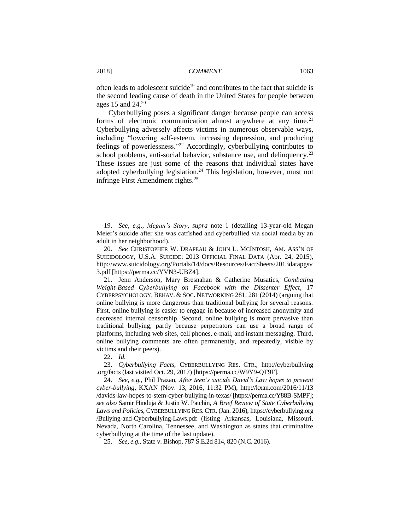often leads to adolescent suicide<sup>19</sup> and contributes to the fact that suicide is the second leading cause of death in the United States for people between ages 15 and  $24.^{20}$ 

Cyberbullying poses a significant danger because people can access forms of electronic communication almost anywhere at any time.<sup>21</sup> Cyberbullying adversely affects victims in numerous observable ways, including "lowering self-esteem, increasing depression, and producing feelings of powerlessness."<sup>22</sup> Accordingly, cyberbullying contributes to school problems, anti-social behavior, substance use, and delinquency.<sup>23</sup> These issues are just some of the reasons that individual states have adopted cyberbullying legislation.<sup>24</sup> This legislation, however, must not infringe First Amendment rights.<sup>25</sup>

22. *Id.*

23. *Cyberbullying Facts*, CYBERBULLYING RES. CTR., http://cyberbullying .org/facts (last visited Oct. 29, 2017) [https://perma.cc/W9Y9-QT9F].

24. *See, e.g.*, Phil Prazan, *After teen's suicide David's Law hopes to prevent cyber-bullying*, KXAN (Nov. 13, 2016, 11:32 PM), http://kxan.com/2016/11/13 /davids-law-hopes-to-stem-cyber-bullying-in-texas/ [https://perma.cc/Y88B-SMPF]; *see also* Samir Hinduja & Justin W. Patchin, *A Brief Review of State Cyberbullying Laws and Policies*, CYBERBULLYING RES.CTR. (Jan. 2016), https://cyberbullying.org /Bullying-and-Cyberbullying-Laws.pdf (listing Arkansas, Louisiana, Missouri, Nevada, North Carolina, Tennessee, and Washington as states that criminalize cyberbullying at the time of the last update).

25. *See, e.g.*, State v. Bishop, 787 S.E.2d 814, 820 (N.C. 2016).

<sup>19.</sup> *See, e.g.*, *Megan's Story*, *supra* note 1 (detailing 13-year-old Megan Meier's suicide after she was catfished and cyberbullied via social media by an adult in her neighborhood).

<sup>20.</sup> *See* CHRISTOPHER W. DRAPEAU & JOHN L. MCINTOSH, AM. ASS'N OF SUICIDOLOGY, U.S.A. SUICIDE: 2013 OFFICIAL FINAL DATA (Apr. 24, 2015), http://www.suicidology.org/Portals/14/docs/Resources/FactSheets/2013datapgsv 3.pdf [https://perma.cc/YVN3-UBZ4].

<sup>21.</sup> Jenn Anderson, Mary Bresnahan & Catherine Musatics, *Combating Weight-Based Cyberbullying on Facebook with the Dissenter Effect*, 17 CYBERPSYCHOLOGY, BEHAV. & SOC. NETWORKING 281, 281 (2014) (arguing that online bullying is more dangerous than traditional bullying for several reasons. First, online bullying is easier to engage in because of increased anonymity and decreased internal censorship. Second, online bullying is more pervasive than traditional bullying, partly because perpetrators can use a broad range of platforms, including web sites, cell phones, e-mail, and instant messaging. Third, online bullying comments are often permanently, and repeatedly, visible by victims and their peers).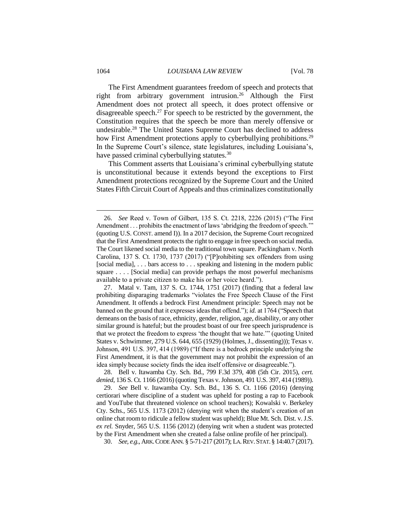The First Amendment guarantees freedom of speech and protects that right from arbitrary government intrusion.<sup>26</sup> Although the First Amendment does not protect all speech, it does protect offensive or disagreeable speech.<sup>27</sup> For speech to be restricted by the government, the Constitution requires that the speech be more than merely offensive or undesirable.<sup>28</sup> The United States Supreme Court has declined to address how First Amendment protections apply to cyberbullying prohibitions.<sup>29</sup> In the Supreme Court's silence, state legislatures, including Louisiana's, have passed criminal cyberbullying statutes.<sup>30</sup>

This Comment asserts that Louisiana's criminal cyberbullying statute is unconstitutional because it extends beyond the exceptions to First Amendment protections recognized by the Supreme Court and the United States Fifth Circuit Court of Appeals and thus criminalizes constitutionally

28. Bell v. Itawamba Cty. Sch. Bd., 799 F.3d 379, 408 (5th Cir. 2015), *cert. denied*, 136 S. Ct. 1166 (2016) (quoting Texas v. Johnson, 491 U.S. 397, 414 (1989)).

30. *See, e.g.*, ARK.CODE ANN. § 5-71-217 (2017); LA.REV.STAT.§ 14:40.7 (2017).

<sup>26.</sup> *See* Reed v. Town of Gilbert, 135 S. Ct. 2218, 2226 (2015) ("The First Amendment . . . prohibits the enactment of laws 'abridging the freedom of speech.'" (quoting U.S. CONST. amend I)). In a 2017 decision, the Supreme Court recognized that the First Amendment protects the right to engage in free speech on social media. The Court likened social media to the traditional town square. Packingham v. North Carolina, 137 S. Ct. 1730, 1737 (2017) ("[P]rohibiting sex offenders from using [social media], . . . bars access to . . . speaking and listening in the modern public square . . . . [Social media] can provide perhaps the most powerful mechanisms available to a private citizen to make his or her voice heard.").

<sup>27.</sup> Matal v. Tam, 137 S. Ct. 1744, 1751 (2017) (finding that a federal law prohibiting disparaging trademarks "violates the Free Speech Clause of the First Amendment. It offends a bedrock First Amendment principle: Speech may not be banned on the ground that it expresses ideas that offend."); *id.* at 1764 ("Speech that demeans on the basis of race, ethnicity, gender, religion, age, disability, or any other similar ground is hateful; but the proudest boast of our free speech jurisprudence is that we protect the freedom to express 'the thought that we hate.'" (quoting United States v. Schwimmer, 279 U.S. 644, 655 (1929) (Holmes, J., dissenting))); Texas v. Johnson, 491 U.S. 397, 414 (1989) ("If there is a bedrock principle underlying the First Amendment, it is that the government may not prohibit the expression of an idea simply because society finds the idea itself offensive or disagreeable.").

<sup>29.</sup> *See* Bell v. Itawamba Cty. Sch. Bd., 136 S. Ct. 1166 (2016) (denying certiorari where discipline of a student was upheld for posting a rap to Facebook and YouTube that threatened violence on school teachers); Kowalski v. Berkeley Cty. Schs., 565 U.S. 1173 (2012) (denying writ when the student's creation of an online chat room to ridicule a fellow student was upheld); Blue Mt. Sch. Dist. v. J.S. *ex rel.* Snyder, 565 U.S. 1156 (2012) (denying writ when a student was protected by the First Amendment when she created a false online profile of her principal).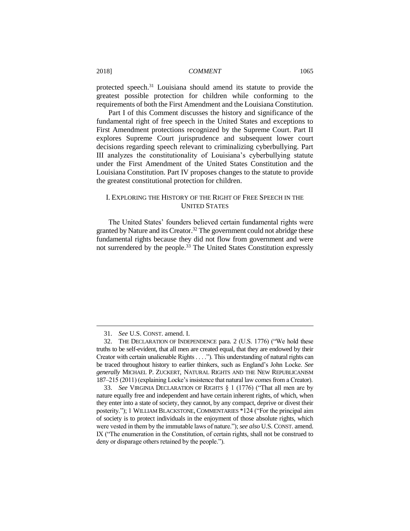protected speech.<sup>31</sup> Louisiana should amend its statute to provide the greatest possible protection for children while conforming to the requirements of both the First Amendment and the Louisiana Constitution.

Part I of this Comment discusses the history and significance of the fundamental right of free speech in the United States and exceptions to First Amendment protections recognized by the Supreme Court. Part II explores Supreme Court jurisprudence and subsequent lower court decisions regarding speech relevant to criminalizing cyberbullying. Part III analyzes the constitutionality of Louisiana's cyberbullying statute under the First Amendment of the United States Constitution and the Louisiana Constitution. Part IV proposes changes to the statute to provide the greatest constitutional protection for children.

# I. EXPLORING THE HISTORY OF THE RIGHT OF FREE SPEECH IN THE UNITED STATES

The United States' founders believed certain fundamental rights were granted by Nature and its Creator.<sup>32</sup> The government could not abridge these fundamental rights because they did not flow from government and were not surrendered by the people.<sup>33</sup> The United States Constitution expressly

<sup>31.</sup> *See* U.S. CONST. amend. I.

<sup>32.</sup> THE DECLARATION OF INDEPENDENCE para. 2 (U.S. 1776) ("We hold these truths to be self-evident, that all men are created equal, that they are endowed by their Creator with certain unalienable Rights . . . ."). This understanding of natural rights can be traced throughout history to earlier thinkers, such as England's John Locke. *See generally* MICHAEL P. ZUCKERT, NATURAL RIGHTS AND THE NEW REPUBLICANISM 187–215 (2011) (explaining Locke's insistence that natural law comes from a Creator).

<sup>33.</sup> *See* VIRGINIA DECLARATION OF RIGHTS § 1 (1776) ("That all men are by nature equally free and independent and have certain inherent rights, of which, when they enter into a state of society, they cannot, by any compact, deprive or divest their posterity."); 1 WILLIAM BLACKSTONE, COMMENTARIES \*124 ("For the principal aim of society is to protect individuals in the enjoyment of those absolute rights, which were vested in them by the immutable laws of nature."); *see also* U.S. CONST. amend. IX ("The enumeration in the Constitution, of certain rights, shall not be construed to deny or disparage others retained by the people.").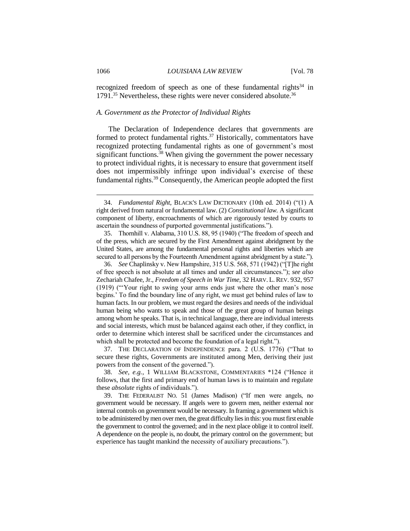recognized freedom of speech as one of these fundamental rights<sup>34</sup> in 1791.<sup>35</sup> Nevertheless, these rights were never considered absolute.<sup>36</sup>

# *A. Government as the Protector of Individual Rights*

The Declaration of Independence declares that governments are formed to protect fundamental rights. $37$  Historically, commentators have recognized protecting fundamental rights as one of government's most significant functions.<sup>38</sup> When giving the government the power necessary to protect individual rights, it is necessary to ensure that government itself does not impermissibly infringe upon individual's exercise of these fundamental rights.<sup>39</sup> Consequently, the American people adopted the first

37. THE DECLARATION OF INDEPENDENCE para. 2 (U.S. 1776) ("That to secure these rights, Governments are instituted among Men, deriving their just powers from the consent of the governed.").

38. *See, e.g.*, 1 WILLIAM BLACKSTONE, COMMENTARIES \*124 ("Hence it follows, that the first and primary end of human laws is to maintain and regulate these *absolute* rights of individuals.").

39. THE FEDERALIST NO. 51 (James Madison) ("If men were angels, no government would be necessary. If angels were to govern men, neither external nor internal controls on government would be necessary. In framing a government which is to be administered by men over men, the great difficulty lies in this: you must first enable the government to control the governed; and in the next place oblige it to control itself. A dependence on the people is, no doubt, the primary control on the government; but experience has taught mankind the necessity of auxiliary precautions.").

<sup>34.</sup> *Fundamental Right*, BLACK'S LAW DICTIONARY (10th ed. 2014) ("(1) A right derived from natural or fundamental law. (2) *Constitutional law.* A significant component of liberty, encroachments of which are rigorously tested by courts to ascertain the soundness of purported governmental justifications.").

<sup>35.</sup> Thornhill v. Alabama, 310 U.S. 88, 95 (1940) ("The freedom of speech and of the press, which are secured by the First Amendment against abridgment by the United States, are among the fundamental personal rights and liberties which are secured to all persons by the Fourteenth Amendment against abridgment by a state.").

<sup>36.</sup> *See* Chaplinsky v. New Hampshire, 315 U.S. 568, 571 (1942) ("[T]he right of free speech is not absolute at all times and under all circumstances."); *see also* Zechariah Chafee, Jr., *Freedom of Speech in War Time*, 32 HARV. L. REV. 932, 957 (1919) ("'Your right to swing your arms ends just where the other man's nose begins.' To find the boundary line of any right, we must get behind rules of law to human facts. In our problem, we must regard the desires and needs of the individual human being who wants to speak and those of the great group of human beings among whom he speaks. That is, in technical language, there are individual interests and social interests, which must be balanced against each other, if they conflict, in order to determine which interest shall be sacrificed under the circumstances and which shall be protected and become the foundation of a legal right.").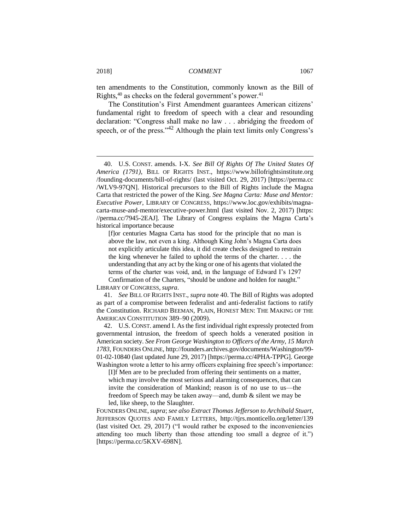ten amendments to the Constitution, commonly known as the Bill of Rights,<sup>40</sup> as checks on the federal government's power.<sup>41</sup>

The Constitution's First Amendment guarantees American citizens' fundamental right to freedom of speech with a clear and resounding declaration: "Congress shall make no law . . . abridging the freedom of speech, or of the press." $42$  Although the plain text limits only Congress's

[f]or centuries Magna Carta has stood for the principle that no man is above the law, not even a king. Although King John's Magna Carta does not explicitly articulate this idea, it did create checks designed to restrain the king whenever he failed to uphold the terms of the charter. . . . the understanding that any act by the king or one of his agents that violated the terms of the charter was void, and, in the language of Edward I's 1297

Confirmation of the Charters, "should be undone and holden for naught." LIBRARY OF CONGRESS, *supra*.

41. *See* BILL OF RIGHTS INST., *supra* note 40. The Bill of Rights was adopted as part of a compromise between federalist and anti-federalist factions to ratify the Constitution. RICHARD BEEMAN, PLAIN, HONEST MEN: THE MAKING OF THE AMERICAN CONSTITUTION 389–90 (2009).

42. U.S. CONST. amend I. As the first individual right expressly protected from governmental intrusion, the freedom of speech holds a venerated position in American society. *See From George Washington to Officers of the Army, 15 March 1783*, FOUNDERS ONLINE, http://founders.archives.gov/documents/Washington/99- 01-02-10840 (last updated June 29, 2017) [https://perma.cc/4PHA-TPPG]. George Washington wrote a letter to his army officers explaining free speech's importance:

[I]f Men are to be precluded from offering their sentiments on a matter, which may involve the most serious and alarming consequences, that can invite the consideration of Mankind; reason is of no use to us—the freedom of Speech may be taken away—and, dumb & silent we may be led, like sheep, to the Slaughter.

FOUNDERS ONLINE,*supra*; *see also Extract Thomas Jefferson to Archibald Stuart*, JEFFERSON QUOTES AND FAMILY LETTERS, http://tjrs.monticello.org/letter/139 (last visited Oct. 29, 2017) ("I would rather be exposed to the inconveniencies attending too much liberty than those attending too small a degree of it.") [https://perma.cc/5KXV-698N].

<sup>40.</sup> U.S. CONST. amends. I-X. *See Bill Of Rights Of The United States Of America (1791)*, BILL OF RIGHTS INST., https://www.billofrightsinstitute.org /founding-documents/bill-of-rights/ (last visited Oct. 29, 2017) [https://perma.cc /WLV9-97QN]. Historical precursors to the Bill of Rights include the Magna Carta that restricted the power of the King. *See Magna Carta: Muse and Mentor: Executive Power*, LIBRARY OF CONGRESS, https://www.loc.gov/exhibits/magnacarta-muse-and-mentor/executive-power.html (last visited Nov. 2, 2017) [https: //perma.cc/7945-2EAJ]. The Library of Congress explains the Magna Carta's historical importance because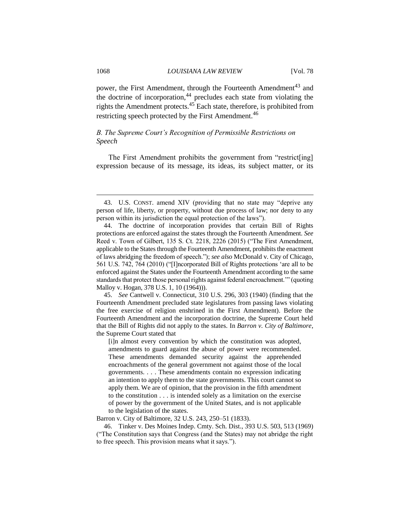power, the First Amendment, through the Fourteenth Amendment<sup>43</sup> and the doctrine of incorporation, $44$  precludes each state from violating the rights the Amendment protects.<sup>45</sup> Each state, therefore, is prohibited from restricting speech protected by the First Amendment.<sup>46</sup>

# *B. The Supreme Court's Recognition of Permissible Restrictions on Speech*

The First Amendment prohibits the government from "restrict[ing] expression because of its message, its ideas, its subject matter, or its

45. *See* Cantwell v. Connecticut, 310 U.S. 296, 303 (1940) (finding that the Fourteenth Amendment precluded state legislatures from passing laws violating the free exercise of religion enshrined in the First Amendment). Before the Fourteenth Amendment and the incorporation doctrine, the Supreme Court held that the Bill of Rights did not apply to the states. In *Barron v. City of Baltimore*, the Supreme Court stated that

[i]n almost every convention by which the constitution was adopted, amendments to guard against the abuse of power were recommended. These amendments demanded security against the apprehended encroachments of the general government not against those of the local governments. . . . These amendments contain no expression indicating an intention to apply them to the state governments. This court cannot so apply them. We are of opinion, that the provision in the fifth amendment to the constitution . . . is intended solely as a limitation on the exercise of power by the government of the United States, and is not applicable to the legislation of the states.

Barron v. City of Baltimore, 32 U.S. 243, 250–51 (1833).

46. Tinker v. Des Moines Indep. Cmty. Sch. Dist., 393 U.S. 503, 513 (1969) ("The Constitution says that Congress (and the States) may not abridge the right to free speech. This provision means what it says.").

<sup>43.</sup> U.S. CONST. amend XIV (providing that no state may "deprive any person of life, liberty, or property, without due process of law; nor deny to any person within its jurisdiction the equal protection of the laws").

<sup>44.</sup> The doctrine of incorporation provides that certain Bill of Rights protections are enforced against the states through the Fourteenth Amendment. *See*  Reed v. Town of Gilbert, 135 S. Ct. 2218, 2226 (2015) ("The First Amendment, applicable to the States through the Fourteenth Amendment, prohibits the enactment of laws abridging the freedom of speech."); *see also* McDonald v. City of Chicago, 561 U.S. 742, 764 (2010) ("[I]ncorporated Bill of Rights protections 'are all to be enforced against the States under the Fourteenth Amendment according to the same standards that protect those personal rights against federal encroachment.'" (quoting Malloy v. Hogan, 378 U.S. 1, 10 (1964))).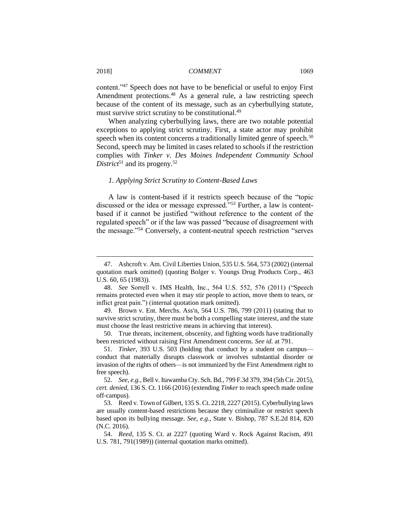content."<sup>47</sup> Speech does not have to be beneficial or useful to enjoy First Amendment protections.<sup>48</sup> As a general rule, a law restricting speech because of the content of its message, such as an cyberbullying statute, must survive strict scrutiny to be constitutional.<sup>49</sup>

When analyzing cyberbullying laws, there are two notable potential exceptions to applying strict scrutiny. First, a state actor may prohibit speech when its content concerns a traditionally limited genre of speech.<sup>50</sup> Second, speech may be limited in cases related to schools if the restriction complies with *Tinker v. Des Moines Independent Community School District*<sup>51</sup> and its progeny*.* 52

# *1. Applying Strict Scrutiny to Content-Based Laws*

A law is content-based if it restricts speech because of the "topic discussed or the idea or message expressed."<sup>553</sup> Further, a law is contentbased if it cannot be justified "without reference to the content of the regulated speech" or if the law was passed "because of disagreement with the message."<sup>54</sup> Conversely, a content-neutral speech restriction "serves

<sup>47.</sup> Ashcroft v. Am. Civil Liberties Union, 535 U.S. 564, 573 (2002) (internal quotation mark omitted) (quoting Bolger v. Youngs Drug Products Corp*.*, 463 U.S. 60, 65 (1983)).

<sup>48.</sup> *See* Sorrell v. IMS Health, Inc., 564 U.S. 552, 576 (2011) ("Speech remains protected even when it may stir people to action, move them to tears, or inflict great pain.") (internal quotation mark omitted).

<sup>49.</sup> Brown v. Ent. Merchs. Ass'n, 564 U.S. 786, 799 (2011) (stating that to survive strict scrutiny, there must be both a compelling state interest, and the state must choose the least restrictive means in achieving that interest).

<sup>50.</sup> True threats, incitement, obscenity, and fighting words have traditionally been restricted without raising First Amendment concerns. *See id.* at 791.

<sup>51.</sup> *Tinker*, 393 U.S. 503 (holding that conduct by a student on campus conduct that materially disrupts classwork or involves substantial disorder or invasion of the rights of others—is not immunized by the First Amendment right to free speech).

<sup>52.</sup> *See, e.g.*, Bell v. Itawamba Cty. Sch. Bd., 799 F.3d 379, 394 (5th Cir. 2015), *cert. denied*, 136 S. Ct. 1166 (2016) (extending *Tinker* to reach speech made online off-campus).

<sup>53.</sup> Reed v. Town of Gilbert, 135 S. Ct. 2218, 2227 (2015). Cyberbullying laws are usually content-based restrictions because they criminalize or restrict speech based upon its bullying message. *See, e.g.*, State v. Bishop, 787 S.E.2d 814, 820 (N.C. 2016).

<sup>54.</sup> *Reed*, 135 S. Ct. at 2227 (quoting Ward v. Rock Against Racism, 491 U.S. 781, 791(1989)) (internal quotation marks omitted).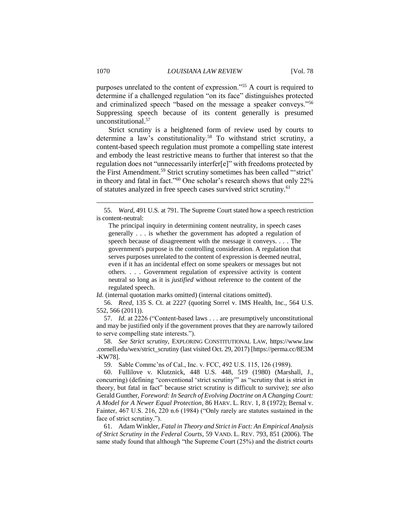purposes unrelated to the content of expression."<sup>55</sup> A court is required to determine if a challenged regulation "on its face" distinguishes protected and criminalized speech "based on the message a speaker conveys."<sup>56</sup> Suppressing speech because of its content generally is presumed unconstitutional.<sup>57</sup>

Strict scrutiny is a heightened form of review used by courts to determine a law's constitutionality.<sup>58</sup> To withstand strict scrutiny, a content-based speech regulation must promote a compelling state interest and embody the least restrictive means to further that interest so that the regulation does not "unnecessarily interfer[e]" with freedoms protected by the First Amendment.<sup>59</sup> Strict scrutiny sometimes has been called "'strict' in theory and fatal in fact."<sup>60</sup> One scholar's research shows that only 22% of statutes analyzed in free speech cases survived strict scrutiny.<sup>61</sup>

*Id.* (internal quotation marks omitted) (internal citations omitted).

56. *Reed*, 135 S. Ct. at 2227 (quoting Sorrel v. IMS Health, Inc., 564 U.S. 552, 566 (2011)).

57. *Id.* at 2226 ("Content-based laws . . . are presumptively unconstitutional and may be justified only if the government proves that they are narrowly tailored to serve compelling state interests.").

58. *See Strict scrutiny*, EXPLORING CONSTITUTIONAL LAW, https://www.law .cornell.edu/wex/strict\_scrutiny (last visited Oct. 29, 2017) [https://perma.cc/8E3M -KW78].

59. Sable Commc'ns of Cal., Inc. v. FCC, 492 U.S. 115, 126 (1989).

60. Fullilove v. Klutznick, 448 U.S. 448, 519 (1980) (Marshall, J., concurring) (defining "conventional 'strict scrutiny'" as "scrutiny that is strict in theory, but fatal in fact" because strict scrutiny is difficult to survive); *see also*  Gerald Gunther, *Foreword: In Search of Evolving Doctrine on A Changing Court: A Model for A Newer Equal Protection*, 86 HARV. L. REV. 1, 8 (1972); Bernal v. Fainter, 467 U.S. 216, 220 n.6 (1984) ("Only rarely are statutes sustained in the face of strict scrutiny.").

61. Adam Winkler, *Fatal in Theory and Strict in Fact: An Empirical Analysis of Strict Scrutiny in the Federal Courts*, 59 VAND. L. REV. 793, 851 (2006). The same study found that although "the Supreme Court (25%) and the district courts

<sup>55.</sup> *Ward*, 491 U.S. at 791. The Supreme Court stated how a speech restriction is content-neutral:

The principal inquiry in determining content neutrality, in speech cases generally . . . is whether the government has adopted a regulation of speech because of disagreement with the message it conveys. *. . .* The government's purpose is the controlling consideration. A regulation that serves purposes unrelated to the content of expression is deemed neutral, even if it has an incidental effect on some speakers or messages but not others. . . . Government regulation of expressive activity is content neutral so long as it is *justified* without reference to the content of the regulated speech.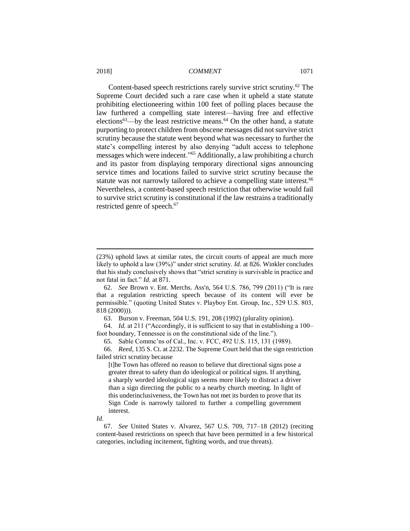Content-based speech restrictions rarely survive strict scrutiny.<sup>62</sup> The Supreme Court decided such a rare case when it upheld a state statute prohibiting electioneering within 100 feet of polling places because the law furthered a compelling state interest—having free and effective elections<sup>63</sup>—by the least restrictive means.<sup>64</sup> On the other hand, a statute purporting to protect children from obscene messages did not survive strict scrutiny because the statute went beyond what was necessary to further the state's compelling interest by also denying "adult access to telephone messages which were indecent."<sup>65</sup> Additionally, a law prohibiting a church and its pastor from displaying temporary directional signs announcing service times and locations failed to survive strict scrutiny because the statute was not narrowly tailored to achieve a compelling state interest.<sup>66</sup> Nevertheless, a content-based speech restriction that otherwise would fail to survive strict scrutiny is constitutional if the law restrains a traditionally restricted genre of speech. 67

63. Burson v. Freeman, 504 U.S. 191, 208 (1992) (plurality opinion).

64. *Id.* at 211 ("Accordingly, it is sufficient to say that in establishing a 100– foot boundary, Tennessee is on the constitutional side of the line.").

65. Sable Commc'ns of Cal., Inc. v. FCC, 492 U.S. 115, 131 (1989).

66. *Reed*, 135 S. Ct. at 2232. The Supreme Court held that the sign restriction failed strict scrutiny because

[t]he Town has offered no reason to believe that directional signs pose a greater threat to safety than do ideological or political signs. If anything, a sharply worded ideological sign seems more likely to distract a driver than a sign directing the public to a nearby church meeting. In light of this underinclusiveness, the Town has not met its burden to prove that its Sign Code is narrowly tailored to further a compelling government interest.

*Id.*

 $\overline{a}$ 

67. *See* United States v. Alvarez, 567 U.S. 709, 717–18 (2012) (reciting content-based restrictions on speech that have been permitted in a few historical categories, including incitement, fighting words, and true threats).

<sup>(23%)</sup> uphold laws at similar rates, the circuit courts of appeal are much more likely to uphold a law (39%)" under strict scrutiny. *Id.* at 826. Winkler concludes that his study conclusively shows that "strict scrutiny is survivable in practice and not fatal in fact." *Id.* at 871.

<sup>62.</sup> *See* Brown v. Ent. Merchs. Ass'n, 564 U.S. 786, 799 (2011) ("It is rare that a regulation restricting speech because of its content will ever be permissible." (quoting United States v. Playboy Ent. Group, Inc., 529 U.S. 803, 818 (2000))).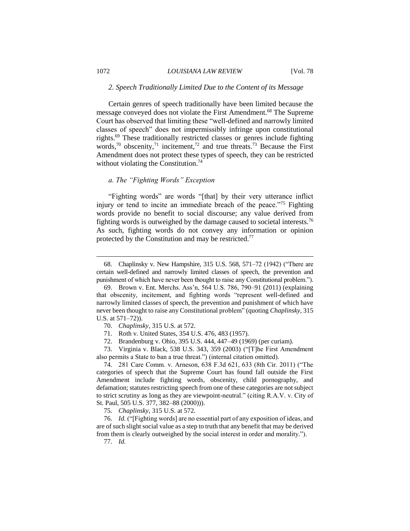#### *2. Speech Traditionally Limited Due to the Content of its Message*

Certain genres of speech traditionally have been limited because the message conveyed does not violate the First Amendment.<sup>68</sup> The Supreme Court has observed that limiting these "well-defined and narrowly limited classes of speech" does not impermissibly infringe upon constitutional rights.<sup>69</sup> These traditionally restricted classes or genres include fighting words,<sup>70</sup> obscenity,<sup>71</sup> incitement,<sup>72</sup> and true threats.<sup>73</sup> Because the First Amendment does not protect these types of speech, they can be restricted without violating the Constitution.<sup>74</sup>

# *a. The "Fighting Words" Exception*

"Fighting words" are words "[that] by their very utterance inflict injury or tend to incite an immediate breach of the peace."<sup>75</sup> Fighting words provide no benefit to social discourse; any value derived from fighting words is outweighed by the damage caused to societal interests.<sup>76</sup> As such, fighting words do not convey any information or opinion protected by the Constitution and may be restricted.<sup>77</sup>

75. *Chaplinsky*, 315 U.S. at 572.

<sup>68.</sup> Chaplinsky v. New Hampshire, 315 U.S. 568, 571–72 (1942) ("There are certain well-defined and narrowly limited classes of speech, the prevention and punishment of which have never been thought to raise any Constitutional problem.").

<sup>69.</sup> Brown v. Ent. Merchs. Ass'n, 564 U.S. 786, 790–91 (2011) (explaining that obscenity, incitement, and fighting words "represent well-defined and narrowly limited classes of speech, the prevention and punishment of which have never been thought to raise any Constitutional problem" (quoting *Chaplinsky*, 315 U.S. at 571–72)).

<sup>70.</sup> *Chaplinsky*, 315 U.S. at 572.

<sup>71.</sup> Roth v. United States, 354 U.S. 476, 483 (1957).

<sup>72.</sup> Brandenburg v. Ohio, 395 U.S. 444, 447–49 (1969) (per curiam).

<sup>73.</sup> Virginia v. Black, 538 U.S. 343, 359 (2003) ("[T]he First Amendment also permits a State to ban a true threat.") (internal citation omitted).

<sup>74.</sup> 281 Care Comm. v. Arneson, 638 F.3d 621, 633 (8th Cir. 2011) ("The categories of speech that the Supreme Court has found fall outside the First Amendment include fighting words, obscenity, child pornography, and defamation; statutes restricting speech from one of these categories are not subject to strict scrutiny as long as they are viewpoint-neutral." (citing R.A.V. v. City of St. Paul, 505 U.S. 377, 382–88 (2000))).

<sup>76.</sup> *Id.* ("[Fighting words] are no essential part of any exposition of ideas, and are of such slight social value as a step to truth that any benefit that may be derived from them is clearly outweighed by the social interest in order and morality.").

<sup>77.</sup> *Id.*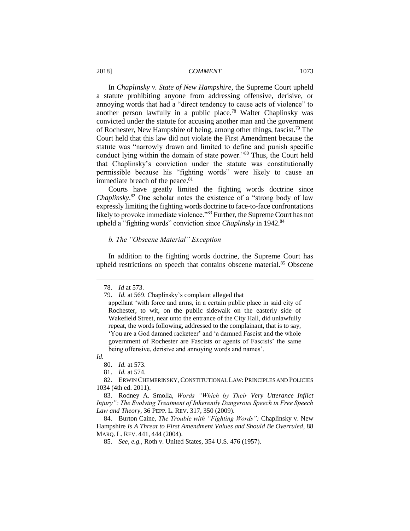In *Chaplinsky v. State of New Hampshire*, the Supreme Court upheld a statute prohibiting anyone from addressing offensive, derisive, or annoying words that had a "direct tendency to cause acts of violence" to another person lawfully in a public place.<sup>78</sup> Walter Chaplinsky was convicted under the statute for accusing another man and the government of Rochester, New Hampshire of being, among other things, fascist.<sup>79</sup> The Court held that this law did not violate the First Amendment because the statute was "narrowly drawn and limited to define and punish specific conduct lying within the domain of state power."<sup>80</sup> Thus, the Court held that Chaplinsky's conviction under the statute was constitutionally permissible because his "fighting words" were likely to cause an immediate breach of the peace.<sup>81</sup>

Courts have greatly limited the fighting words doctrine since *Chaplinsky*. <sup>82</sup> One scholar notes the existence of a "strong body of law expressly limiting the fighting words doctrine to face-to-face confrontations likely to provoke immediate violence."<sup>83</sup> Further, the Supreme Court has not upheld a "fighting words" conviction since *Chaplinsky* in 1942.<sup>84</sup>

# *b. The "Obscene Material" Exception*

In addition to the fighting words doctrine, the Supreme Court has upheld restrictions on speech that contains obscene material.<sup>85</sup> Obscene

*Id.* 

<sup>78.</sup> *Id* at 573.

<sup>79.</sup> *Id.* at 569. Chaplinsky's complaint alleged that

appellant 'with force and arms, in a certain public place in said city of Rochester, to wit, on the public sidewalk on the easterly side of Wakefield Street, near unto the entrance of the City Hall, did unlawfully repeat, the words following, addressed to the complainant, that is to say, 'You are a God damned racketeer' and 'a damned Fascist and the whole government of Rochester are Fascists or agents of Fascists' the same being offensive, derisive and annoying words and names'.

<sup>80.</sup> *Id.* at 573.

<sup>81.</sup> *Id.* at 574.

<sup>82.</sup> ERWIN CHEMERINSKY, CONSTITUTIONAL LAW: PRINCIPLES AND POLICIES 1034 (4th ed. 2011).

<sup>83.</sup> Rodney A. Smolla, *Words "Which by Their Very Utterance Inflict Injury": The Evolving Treatment of Inherently Dangerous Speech in Free Speech Law and Theory*, 36 PEPP. L. REV. 317, 350 (2009).

<sup>84.</sup> Burton Caine, *The Trouble with "Fighting Words":* Chaplinsky v. New Hampshire *Is A Threat to First Amendment Values and Should Be Overruled*, 88 MARQ. L. REV. 441, 444 (2004).

<sup>85.</sup> *See, e.g.*, Roth v. United States, 354 U.S. 476 (1957).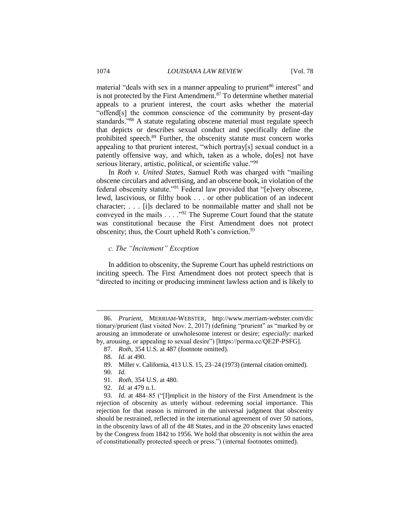material "deals with sex in a manner appealing to prurient<sup>86</sup> interest" and is not protected by the First Amendment.<sup>87</sup> To determine whether material appeals to a prurient interest, the court asks whether the material "offend[s] the common conscience of the community by present-day standards."<sup>88</sup> A statute regulating obscene material must regulate speech that depicts or describes sexual conduct and specifically define the prohibited speech.<sup>89</sup> Further, the obscenity statute must concern works appealing to that prurient interest, "which portray[s] sexual conduct in a patently offensive way, and which, taken as a whole, do[es] not have serious literary, artistic, political, or scientific value."90

In *Roth v. United States*, Samuel Roth was charged with "mailing obscene circulars and advertising, and an obscene book, in violation of the federal obscenity statute."<sup>91</sup> Federal law provided that "[e]very obscene, lewd, lascivious, or filthy book . . . or other publication of an indecent character; . . . [i]s declared to be nonmailable matter and shall not be conveyed in the mails . . . ."<sup>92</sup> The Supreme Court found that the statute was constitutional because the First Amendment does not protect obscenity; thus, the Court upheld Roth's conviction.<sup>93</sup>

### *c. The "Incitement" Exception*

In addition to obscenity, the Supreme Court has upheld restrictions on inciting speech. The First Amendment does not protect speech that is "directed to inciting or producing imminent lawless action and is likely to

 $\overline{a}$ 

93. *Id.* at 484–85 ("[I]mplicit in the history of the First Amendment is the rejection of obscenity as utterly without redeeming social importance. This rejection for that reason is mirrored in the universal judgment that obscenity should be restrained, reflected in the international agreement of over 50 nations, in the obscenity laws of all of the 48 States, and in the 20 obscenity laws enacted by the Congress from 1842 to 1956. We hold that obscenity is not within the area of constitutionally protected speech or press.") (internal footnotes omitted).

<sup>86.</sup> *Prurient*, MERRIAM-WEBSTER, http://www.merriam-webster.com/dic tionary/prurient (last visited Nov. 2, 2017) (defining "prurient" as "marked by or arousing an immoderate or unwholesome interest or desire; *especially*: marked by, arousing, or appealing to sexual desire") [https://perma.cc/QE2P-PSFG].

<sup>87.</sup> *Roth*, 354 U.S. at 487 (footnote omitted).

<sup>88.</sup> *Id.* at 490.

<sup>89.</sup> Miller v. California, 413 U.S. 15, 23–24 (1973) (internal citation omitted).

<sup>90.</sup> *Id.*

<sup>91.</sup> *Roth*, 354 U.S. at 480.

<sup>92.</sup> *Id.* at 479 n.1.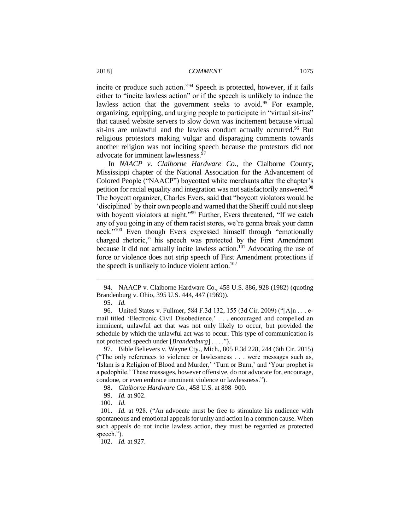incite or produce such action."<sup>94</sup> Speech is protected, however, if it fails either to "incite lawless action" or if the speech is unlikely to induce the lawless action that the government seeks to avoid.<sup>95</sup> For example, organizing, equipping, and urging people to participate in "virtual sit-ins" that caused website servers to slow down was incitement because virtual sit-ins are unlawful and the lawless conduct actually occurred.<sup>96</sup> But religious protestors making vulgar and disparaging comments towards another religion was not inciting speech because the protestors did not advocate for imminent lawlessness.<sup>97</sup>

In *NAACP v. Claiborne Hardware Co.*, the Claiborne County, Mississippi chapter of the National Association for the Advancement of Colored People ("NAACP") boycotted white merchants after the chapter's petition for racial equality and integration was not satisfactorily answered.<sup>98</sup> The boycott organizer, Charles Evers, said that "boycott violators would be 'disciplined' by their own people and warned that the Sheriff could not sleep with boycott violators at night."<sup>99</sup> Further, Evers threatened, "If we catch any of you going in any of them racist stores, we're gonna break your damn neck."<sup>100</sup> Even though Evers expressed himself through "emotionally charged rhetoric," his speech was protected by the First Amendment because it did not actually incite lawless action.<sup>101</sup> Advocating the use of force or violence does not strip speech of First Amendment protections if the speech is unlikely to induce violent action.<sup>102</sup>

<sup>94.</sup> NAACP v. Claiborne Hardware Co., 458 U.S. 886, 928 (1982) (quoting Brandenburg v. Ohio, 395 U.S. 444, 447 (1969)).

<sup>95.</sup> *Id.*

<sup>96.</sup> United States v. Fullmer, 584 F.3d 132, 155 (3d Cir. 2009) ("[A]n . . . email titled 'Electronic Civil Disobedience,' . . . encouraged and compelled an imminent, unlawful act that was not only likely to occur, but provided the schedule by which the unlawful act was to occur. This type of communication is not protected speech under [*Brandenburg*] . . . .").

<sup>97.</sup> Bible Believers v. Wayne Cty., Mich., 805 F.3d 228, 244 (6th Cir. 2015) ("The only references to violence or lawlessness . . . were messages such as, 'Islam is a Religion of Blood and Murder,' 'Turn or Burn,' and 'Your prophet is a pedophile.' These messages, however offensive, do not advocate for, encourage, condone, or even embrace imminent violence or lawlessness.").

<sup>98.</sup> *Claiborne Hardware Co.*, 458 U.S. at 898–900.

<sup>99.</sup> *Id.* at 902.

<sup>100.</sup> *Id.*

<sup>101.</sup> *Id.* at 928. ("An advocate must be free to stimulate his audience with spontaneous and emotional appeals for unity and action in a common cause. When such appeals do not incite lawless action, they must be regarded as protected speech.").

<sup>102.</sup> *Id.* at 927.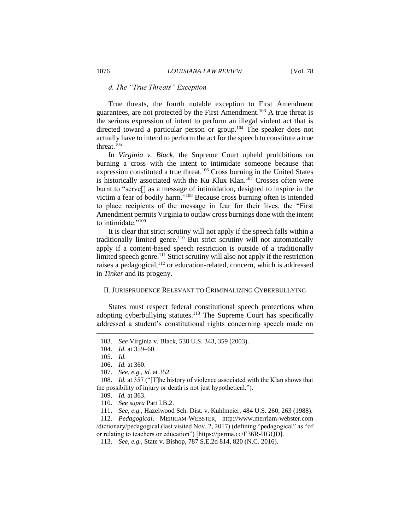# *d. The "True Threats" Exception*

True threats, the fourth notable exception to First Amendment guarantees, are not protected by the First Amendment.<sup>103</sup> A true threat is the serious expression of intent to perform an illegal violent act that is directed toward a particular person or group.<sup>104</sup> The speaker does not actually have to intend to perform the act for the speech to constitute a true threat. 105

In *Virginia v. Black*, the Supreme Court upheld prohibitions on burning a cross with the intent to intimidate someone because that expression constituted a true threat.<sup>106</sup> Cross burning in the United States is historically associated with the Ku Klux Klan.<sup>107</sup> Crosses often were burnt to "serve[] as a message of intimidation, designed to inspire in the victim a fear of bodily harm."<sup>108</sup> Because cross burning often is intended to place recipients of the message in fear for their lives, the "First Amendment permits Virginia to outlaw cross burnings done with the intent to intimidate."<sup>109</sup>

It is clear that strict scrutiny will not apply if the speech falls within a traditionally limited genre.<sup>110</sup> But strict scrutiny will not automatically apply if a content-based speech restriction is outside of a traditionally limited speech genre.<sup>111</sup> Strict scrutiny will also not apply if the restriction raises a pedagogical,<sup>112</sup> or education-related, concern, which is addressed in *Tinker* and its progeny.

#### II. JURISPRUDENCE RELEVANT TO CRIMINALIZING CYBERBULLYING

States must respect federal constitutional speech protections when adopting cyberbullying statutes.<sup>113</sup> The Supreme Court has specifically addressed a student's constitutional rights concerning speech made on

<sup>103.</sup> *See* Virginia v. Black, 538 U.S. 343, 359 (2003)*.*

<sup>104.</sup> *Id.* at 359–60.

<sup>105.</sup> *Id.*

<sup>106.</sup> *Id.* at 360.

<sup>107.</sup> *See, e.g.*, *id.* at 352

<sup>108.</sup> *Id.* at 357 ("[T]he history of violence associated with the Klan shows that the possibility of injury or death is not just hypothetical.").

<sup>109.</sup> *Id.* at 363.

<sup>110.</sup> *See supra* Part I.B.2.

<sup>111.</sup> *See, e.g.*, Hazelwood Sch. Dist. v. Kuhlmeier, 484 U.S. 260, 263 (1988).

<sup>112.</sup> *Pedagogical*, MERRIAM-WEBSTER, http://www.merriam-webster.com /dictionary/pedagogical (last visited Nov. 2, 2017) (defining "pedagogical" as "of or relating to teachers or education") [https://perma.cc/E36R-HGQD].

<sup>113.</sup> *See, e.g.*, State v. Bishop, 787 S.E.2d 814, 820 (N.C. 2016).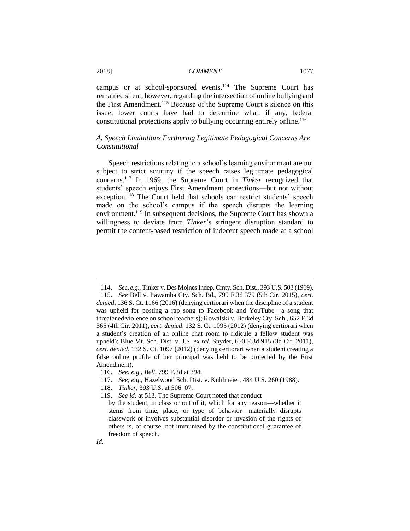campus or at school-sponsored events.<sup>114</sup> The Supreme Court has remained silent, however, regarding the intersection of online bullying and the First Amendment.<sup>115</sup> Because of the Supreme Court's silence on this issue, lower courts have had to determine what, if any, federal constitutional protections apply to bullying occurring entirely online.<sup>116</sup>

# *A. Speech Limitations Furthering Legitimate Pedagogical Concerns Are Constitutional*

Speech restrictions relating to a school's learning environment are not subject to strict scrutiny if the speech raises legitimate pedagogical concerns.<sup>117</sup> In 1969, the Supreme Court in *Tinker* recognized that students' speech enjoys First Amendment protections—but not without exception.<sup>118</sup> The Court held that schools can restrict students' speech made on the school's campus if the speech disrupts the learning environment.<sup>119</sup> In subsequent decisions, the Supreme Court has shown a willingness to deviate from *Tinker*'s stringent disruption standard to permit the content-based restriction of indecent speech made at a school

118. *Tinker*, 393 U.S. at 506–07.

<sup>114.</sup> *See, e.g*., Tinker v. Des Moines Indep. Cmty. Sch. Dist., 393 U.S. 503 (1969).

<sup>115.</sup> *See* Bell v. Itawamba Cty. Sch. Bd., 799 F.3d 379 (5th Cir. 2015), *cert. denied*, 136 S. Ct. 1166 (2016) (denying certiorari when the discipline of a student was upheld for posting a rap song to Facebook and YouTube—a song that threatened violence on school teachers); Kowalski v. Berkeley Cty. Sch., 652 F.3d 565 (4th Cir. 2011), *cert. denied*, 132 S. Ct. 1095 (2012) (denying certiorari when a student's creation of an online chat room to ridicule a fellow student was upheld); Blue Mt. Sch. Dist. v. J.S. *ex rel.* Snyder, 650 F.3d 915 (3d Cir. 2011), *cert. denied*, 132 S. Ct. 1097 (2012) (denying certiorari when a student creating a false online profile of her principal was held to be protected by the First Amendment).

<sup>116.</sup> *See, e.g.*, *Bell*, 799 F.3d at 394.

<sup>117.</sup> *See, e.g*., Hazelwood Sch. Dist. v. Kuhlmeier, 484 U.S. 260 (1988).

<sup>119.</sup> *See id.* at 513. The Supreme Court noted that conduct

by the student, in class or out of it, which for any reason—whether it stems from time, place, or type of behavior—materially disrupts classwork or involves substantial disorder or invasion of the rights of others is, of course, not immunized by the constitutional guarantee of freedom of speech.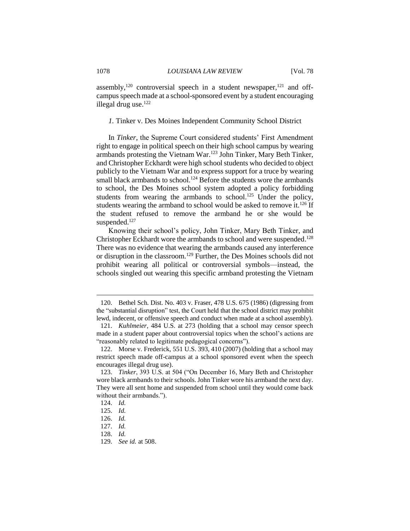assembly,<sup>120</sup> controversial speech in a student newspaper, $121$  and offcampus speech made at a school-sponsored event by a student encouraging illegal drug use. $122$ 

*1.* Tinker v. Des Moines Independent Community School District

In *Tinker,* the Supreme Court considered students' First Amendment right to engage in political speech on their high school campus by wearing armbands protesting the Vietnam War.<sup>123</sup> John Tinker, Mary Beth Tinker, and Christopher Eckhardt were high school students who decided to object publicly to the Vietnam War and to express support for a truce by wearing small black armbands to school.<sup>124</sup> Before the students wore the armbands to school, the Des Moines school system adopted a policy forbidding students from wearing the armbands to school.<sup>125</sup> Under the policy, students wearing the armband to school would be asked to remove it.<sup>126</sup> If the student refused to remove the armband he or she would be suspended.<sup>127</sup>

Knowing their school's policy, John Tinker, Mary Beth Tinker, and Christopher Eckhardt wore the armbands to school and were suspended.<sup>128</sup> There was no evidence that wearing the armbands caused any interference or disruption in the classroom. <sup>129</sup> Further, the Des Moines schools did not prohibit wearing all political or controversial symbols—instead, the schools singled out wearing this specific armband protesting the Vietnam

<sup>120.</sup> Bethel Sch. Dist. No. 403 v. Fraser, 478 U.S. 675 (1986) (digressing from the "substantial disruption" test, the Court held that the school district may prohibit lewd, indecent, or offensive speech and conduct when made at a school assembly).

<sup>121.</sup> *Kuhlmeier*, 484 U.S. at 273 (holding that a school may censor speech made in a student paper about controversial topics when the school's actions are "reasonably related to legitimate pedagogical concerns").

<sup>122.</sup> Morse v. Frederick, 551 U.S. 393, 410 (2007) (holding that a school may restrict speech made off-campus at a school sponsored event when the speech encourages illegal drug use).

<sup>123.</sup> *Tinker*, 393 U.S. at 504 ("On December 16, Mary Beth and Christopher wore black armbands to their schools. John Tinker wore his armband the next day. They were all sent home and suspended from school until they would come back without their armbands.").

<sup>124.</sup> *Id.*

<sup>125.</sup> *Id.*

<sup>126.</sup> *Id.*

<sup>127.</sup> *Id.*

<sup>128.</sup> *Id.*

<sup>129.</sup> *See id.* at 508.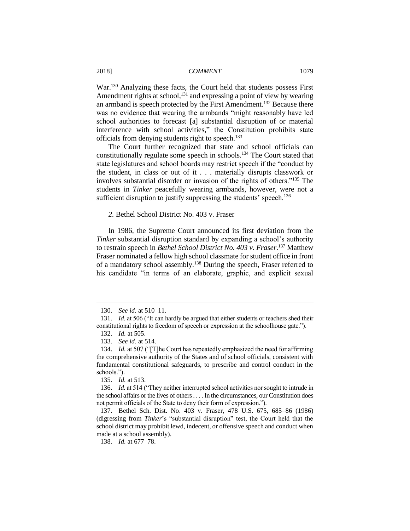War.<sup>130</sup> Analyzing these facts, the Court held that students possess First Amendment rights at school,<sup>131</sup> and expressing a point of view by wearing an armband is speech protected by the First Amendment.<sup>132</sup> Because there was no evidence that wearing the armbands "might reasonably have led school authorities to forecast [a] substantial disruption of or material interference with school activities," the Constitution prohibits state officials from denying students right to speech.<sup>133</sup>

The Court further recognized that state and school officials can constitutionally regulate some speech in schools.<sup>134</sup> The Court stated that state legislatures and school boards may restrict speech if the "conduct by the student, in class or out of it . . . materially disrupts classwork or involves substantial disorder or invasion of the rights of others."<sup>135</sup> The students in *Tinker* peacefully wearing armbands, however, were not a sufficient disruption to justify suppressing the students' speech.<sup>136</sup>

*2.* Bethel School District No. 403 v. Fraser

In 1986, the Supreme Court announced its first deviation from the *Tinker* substantial disruption standard by expanding a school's authority to restrain speech in *Bethel School District No. 403 v. Fraser*. <sup>137</sup> Matthew Fraser nominated a fellow high school classmate for student office in front of a mandatory school assembly.<sup>138</sup> During the speech, Fraser referred to his candidate "in terms of an elaborate, graphic, and explicit sexual

<sup>130.</sup> *See id.* at 510–11.

<sup>131.</sup> *Id.* at 506 ("It can hardly be argued that either students or teachers shed their constitutional rights to freedom of speech or expression at the schoolhouse gate.").

<sup>132.</sup> *Id.* at 505.

<sup>133.</sup> *See id.* at 514.

<sup>134.</sup> *Id.* at 507 ("[T]he Court has repeatedly emphasized the need for affirming the comprehensive authority of the States and of school officials, consistent with fundamental constitutional safeguards, to prescribe and control conduct in the schools.").

<sup>135.</sup> *Id.* at 513.

<sup>136.</sup> *Id.* at 514 ("They neither interrupted school activities nor sought to intrude in the school affairs or the lives of others . . . . In the circumstances, our Constitution does not permit officials of the State to deny their form of expression.").

<sup>137.</sup> Bethel Sch. Dist. No. 403 v. Fraser, 478 U.S. 675, 685–86 (1986) (digressing from *Tinker*'s "substantial disruption" test, the Court held that the school district may prohibit lewd, indecent, or offensive speech and conduct when made at a school assembly).

<sup>138.</sup> *Id.* at 677–78.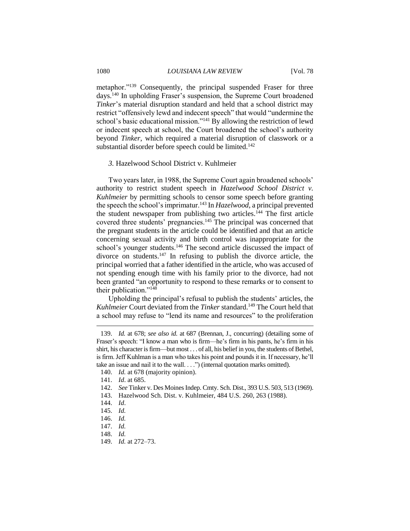metaphor."<sup>139</sup> Consequently, the principal suspended Fraser for three days.<sup>140</sup> In upholding Fraser's suspension, the Supreme Court broadened *Tinker*'s material disruption standard and held that a school district may restrict "offensively lewd and indecent speech" that would "undermine the school's basic educational mission."<sup>141</sup> By allowing the restriction of lewd or indecent speech at school, the Court broadened the school's authority beyond *Tinker*, which required a material disruption of classwork or a substantial disorder before speech could be limited.<sup>142</sup>

#### *3.* Hazelwood School District v. Kuhlmeier

Two years later, in 1988, the Supreme Court again broadened schools' authority to restrict student speech in *Hazelwood School District v. Kuhlmeier* by permitting schools to censor some speech before granting the speech the school's imprimatur.<sup>143</sup> In *Hazelwood*, a principal prevented the student newspaper from publishing two articles.<sup>144</sup> The first article covered three students' pregnancies.<sup>145</sup> The principal was concerned that the pregnant students in the article could be identified and that an article concerning sexual activity and birth control was inappropriate for the school's younger students.<sup>146</sup> The second article discussed the impact of divorce on students. $147$  In refusing to publish the divorce article, the principal worried that a father identified in the article, who was accused of not spending enough time with his family prior to the divorce, had not been granted "an opportunity to respond to these remarks or to consent to their publication."<sup>148</sup>

Upholding the principal's refusal to publish the students' articles, the *Kuhlmeier* Court deviated from the *Tinker* standard.<sup>149</sup> The Court held that a school may refuse to "lend its name and resources" to the proliferation

<sup>139.</sup> *Id.* at 678; *see also id.* at 687 (Brennan, J., concurring) (detailing some of Fraser's speech: "I know a man who is firm—he's firm in his pants, he's firm in his shirt, his character is firm—but most . . . of all, his belief in you, the students of Bethel, is firm. Jeff Kuhlman is a man who takes his point and pounds it in. If necessary, he'll take an issue and nail it to the wall. . . .") (internal quotation marks omitted).

<sup>140.</sup> *Id.* at 678 (majority opinion).

<sup>141.</sup> *Id*. at 685.

<sup>142.</sup> *See* Tinker v. Des Moines Indep. Cmty. Sch. Dist., 393 U.S. 503, 513 (1969).

<sup>143.</sup> Hazelwood Sch. Dist. v. Kuhlmeier, 484 U.S. 260, 263 (1988).

<sup>144.</sup> *Id*.

<sup>145.</sup> *Id.*

<sup>146.</sup> *Id.*

<sup>147.</sup> *Id.*

<sup>148.</sup> *Id.*

<sup>149.</sup> *Id.* at 272–73.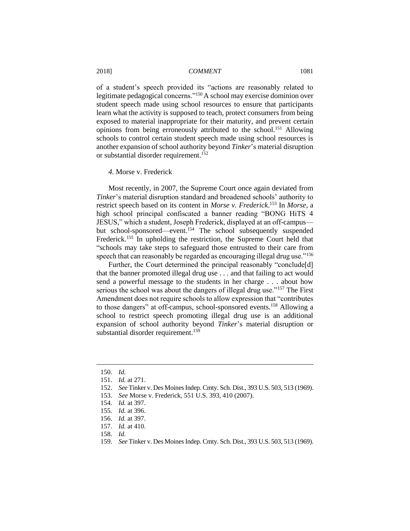of a student's speech provided its "actions are reasonably related to legitimate pedagogical concerns."<sup>150</sup>A school may exercise dominion over student speech made using school resources to ensure that participants learn what the activity is supposed to teach, protect consumers from being exposed to material inappropriate for their maturity, and prevent certain opinions from being erroneously attributed to the school.<sup>151</sup> Allowing schools to control certain student speech made using school resources is another expansion of school authority beyond *Tinker*'s material disruption or substantial disorder requirement.<sup>152</sup>

#### *4.* Morse v. Frederick

Most recently, in 2007, the Supreme Court once again deviated from *Tinker*'s material disruption standard and broadened schools' authority to restrict speech based on its content in *Morse v. Frederick*. <sup>153</sup> In *Morse*, a high school principal confiscated a banner reading "BONG HiTS 4 JESUS," which a student, Joseph Frederick, displayed at an off-campus but school-sponsored—event.<sup>154</sup> The school subsequently suspended Frederick.<sup>155</sup> In upholding the restriction, the Supreme Court held that "schools may take steps to safeguard those entrusted to their care from speech that can reasonably be regarded as encouraging illegal drug use."<sup>156</sup>

Further, the Court determined the principal reasonably "conclude[d] that the banner promoted illegal drug use . . . and that failing to act would send a powerful message to the students in her charge . . . about how serious the school was about the dangers of illegal drug use."<sup>157</sup> The First Amendment does not require schools to allow expression that "contributes to those dangers" at off-campus, school-sponsored events.<sup>158</sup> Allowing a school to restrict speech promoting illegal drug use is an additional expansion of school authority beyond *Tinker*'s material disruption or substantial disorder requirement.<sup>159</sup>

<sup>150.</sup> *Id.*

<sup>151.</sup> *Id.* at 271.

<sup>152.</sup> *See* Tinker v. Des Moines Indep. Cmty. Sch. Dist., 393 U.S. 503, 513 (1969).

<sup>153.</sup> *See* Morse v. Frederick, 551 U.S. 393, 410 (2007).

<sup>154.</sup> *Id.* at 397.

<sup>155.</sup> *Id.* at 396.

<sup>156.</sup> *Id.* at 397.

<sup>157.</sup> *Id.* at 410.

<sup>158.</sup> *Id.*

<sup>159.</sup> *See* Tinker v. Des Moines Indep. Cmty. Sch. Dist., 393 U.S. 503, 513 (1969).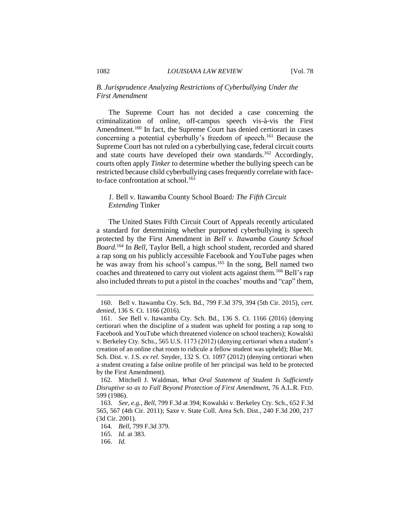# *B. Jurisprudence Analyzing Restrictions of Cyberbullying Under the First Amendment*

The Supreme Court has not decided a case concerning the criminalization of online, off-campus speech vis-à-vis the First Amendment.<sup>160</sup> In fact, the Supreme Court has denied certiorari in cases concerning a potential cyberbully's freedom of speech.<sup>161</sup> Because the Supreme Court has not ruled on a cyberbullying case, federal circuit courts and state courts have developed their own standards.<sup>162</sup> Accordingly, courts often apply *Tinker* to determine whether the bullying speech can be restricted because child cyberbullying cases frequently correlate with faceto-face confrontation at school. 163

# *1.* Bell v. Itawamba County School Board*: The Fifth Circuit Extending* Tinker

The United States Fifth Circuit Court of Appeals recently articulated a standard for determining whether purported cyberbullying is speech protected by the First Amendment in *Bell v. Itawamba County School Board.*<sup>164</sup> In *Bell*, Taylor Bell, a high school student, recorded and shared a rap song on his publicly accessible Facebook and YouTube pages when he was away from his school's campus*.* <sup>165</sup> In the song, Bell named two coaches and threatened to carry out violent acts against them.<sup>166</sup> Bell's rap also included threats to put a pistol in the coaches' mouths and "cap" them,

162. Mitchell J. Waldman, *What Oral Statement of Student Is Sufficiently Disruptive so as to Fall Beyond Protection of First Amendmen*t, 76 A.L.R. FED. 599 (1986).

<sup>160.</sup> Bell v. Itawamba Cty. Sch. Bd., 799 F.3d 379, 394 (5th Cir. 2015), *cert. denied*, 136 S. Ct. 1166 (2016).

<sup>161.</sup> *See* Bell v. Itawamba Cty. Sch. Bd., 136 S. Ct. 1166 (2016) (denying certiorari when the discipline of a student was upheld for posting a rap song to Facebook and YouTube which threatened violence on school teachers); Kowalski v. Berkeley Cty. Schs., 565 U.S. 1173 (2012) (denying certiorari when a student's creation of an online chat room to ridicule a fellow student was upheld); Blue Mt. Sch. Dist. v. J.S. *ex rel.* Snyder, 132 S. Ct. 1097 (2012) (denying certiorari when a student creating a false online profile of her principal was held to be protected by the First Amendment).

<sup>163.</sup> *See, e.g.*, *Bell*, 799 F.3d at 394; Kowalski v. Berkeley Cty. Sch., 652 F.3d 565, 567 (4th Cir. 2011); Saxe v. State Coll. Area Sch. Dist., 240 F.3d 200, 217 (3d Cir. 2001).

<sup>164.</sup> *Bell*, 799 F.3d 379.

<sup>165.</sup> *Id.* at 383.

<sup>166.</sup> *Id.*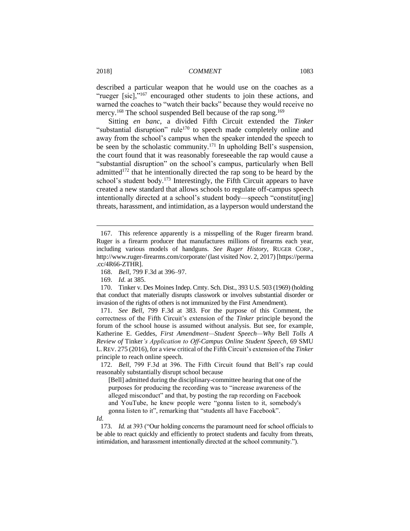described a particular weapon that he would use on the coaches as a "rueger [sic],"<sup>167</sup> encouraged other students to join these actions, and warned the coaches to "watch their backs" because they would receive no mercy.<sup>168</sup> The school suspended Bell because of the rap song.<sup>169</sup>

Sitting *en banc*, a divided Fifth Circuit extended the *Tinker* "substantial disruption" rule<sup>170</sup> to speech made completely online and away from the school's campus when the speaker intended the speech to be seen by the scholastic community.<sup>171</sup> In upholding Bell's suspension, the court found that it was reasonably foreseeable the rap would cause a "substantial disruption" on the school's campus, particularly when Bell admitted<sup>172</sup> that he intentionally directed the rap song to be heard by the school's student body.<sup>173</sup> Interestingly, the Fifth Circuit appears to have created a new standard that allows schools to regulate off-campus speech intentionally directed at a school's student body—speech "constitut[ing] threats, harassment, and intimidation, as a layperson would understand the

 $\overline{a}$ 

171. *See Bell*, 799 F.3d at 383. For the purpose of this Comment, the correctness of the Fifth Circuit's extension of the *Tinker* principle beyond the forum of the school house is assumed without analysis. But see, for example, Katherine E. Geddes, *First Amendment—Student Speech—Why* Bell *Tolls A Review of* Tinker*'s Application to Off-Campus Online Student Speech*, 69 SMU L.REV. 275 (2016), for a view critical of the Fifth Circuit's extension of the *Tinker* principle to reach online speech.

172. *Bell*, 799 F.3d at 396. The Fifth Circuit found that Bell's rap could reasonably substantially disrupt school because

[Bell] admitted during the disciplinary-committee hearing that one of the purposes for producing the recording was to "increase awareness of the alleged misconduct" and that, by posting the rap recording on Facebook and YouTube, he knew people were "gonna listen to it, somebody's gonna listen to it", remarking that "students all have Facebook".

173. *Id.* at 393 ("Our holding concerns the paramount need for school officials to be able to react quickly and efficiently to protect students and faculty from threats, intimidation, and harassment intentionally directed at the school community.").

<sup>167.</sup> This reference apparently is a misspelling of the Ruger firearm brand. Ruger is a firearm producer that manufactures millions of firearms each year, including various models of handguns. *See Ruger History*, RUGER CORP., http://www.ruger-firearms.com/corporate/ (last visited Nov. 2, 2017) [https://perma .cc/4R66-ZTHR].

<sup>168.</sup> *Bell*, 799 F.3d at 396–97.

<sup>169.</sup> *Id.* at 385.

<sup>170.</sup> Tinker v. Des Moines Indep. Cmty. Sch. Dist., 393 U.S. 503 (1969) (holding that conduct that materially disrupts classwork or involves substantial disorder or invasion of the rights of others is not immunized by the First Amendment).

*Id.*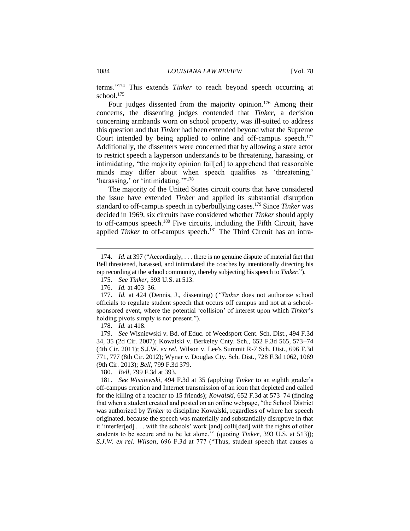terms."<sup>174</sup> This extends *Tinker* to reach beyond speech occurring at school.<sup>175</sup>

Four judges dissented from the majority opinion.<sup>176</sup> Among their concerns, the dissenting judges contended that *Tinker*, a decision concerning armbands worn on school property, was ill-suited to address this question and that *Tinker* had been extended beyond what the Supreme Court intended by being applied to online and off-campus speech.<sup>177</sup> Additionally, the dissenters were concerned that by allowing a state actor to restrict speech a layperson understands to be threatening, harassing, or intimidating, "the majority opinion fail[ed] to apprehend that reasonable minds may differ about when speech qualifies as 'threatening,' 'harassing,' or 'intimidating.'"<sup>178</sup>

The majority of the United States circuit courts that have considered the issue have extended *Tinker* and applied its substantial disruption standard to off-campus speech in cyberbullying cases.<sup>179</sup> Since *Tinker* was decided in 1969, six circuits have considered whether *Tinker* should apply to off-campus speech.<sup>180</sup> Five circuits, including the Fifth Circuit, have applied *Tinker* to off-campus speech.<sup>181</sup> The Third Circuit has an intra-

 $\overline{a}$ 

180. *Bell*, 799 F.3d at 393.

<sup>174.</sup> *Id.* at 397 ("Accordingly, . . . there is no genuine dispute of material fact that Bell threatened, harassed, and intimidated the coaches by intentionally directing his rap recording at the school community, thereby subjecting his speech to *Tinker.*").

<sup>175.</sup> *See Tinker*, 393 U.S. at 513.

<sup>176.</sup> *Id.* at 403–36.

<sup>177.</sup> *Id.* at 424 (Dennis, J., dissenting) (*"Tinker* does not authorize school officials to regulate student speech that occurs off campus and not at a schoolsponsored event, where the potential 'collision' of interest upon which *Tinker*'s holding pivots simply is not present.").

<sup>178.</sup> *Id.* at 418.

<sup>179.</sup> *See* Wisniewski v. Bd. of Educ. of Weedsport Cent. Sch. Dist., 494 F.3d 34, 35 (2d Cir. 2007); Kowalski v. Berkeley Cnty. Sch., 652 F.3d 565, 573–74 (4th Cir. 2011); S.J.W. *ex rel.* Wilson v. Lee's Summit R-7 Sch. Dist., 696 F.3d 771, 777 (8th Cir. 2012); Wynar v. Douglas Cty. Sch. Dist., 728 F.3d 1062, 1069 (9th Cir. 2013); *Bell*, 799 F.3d 379.

<sup>181.</sup> *See Wisniewski*, 494 F.3d at 35 (applying *Tinker* to an eighth grader's off-campus creation and Internet transmission of an icon that depicted and called for the killing of a teacher to 15 friends); *Kowalski*, 652 F.3d at 573–74 (finding that when a student created and posted on an online webpage, "the School District was authorized by *Tinker* to discipline Kowalski, regardless of where her speech originated, because the speech was materially and substantially disruptive in that it 'interfer[ed] . . . with the schools' work [and] colli[ded] with the rights of other students to be secure and to be let alone.'" (quoting *Tinker*, 393 U.S. at 513)); *S.J.W. ex rel. Wilson*, 696 F.3d at 777 ("Thus, student speech that causes a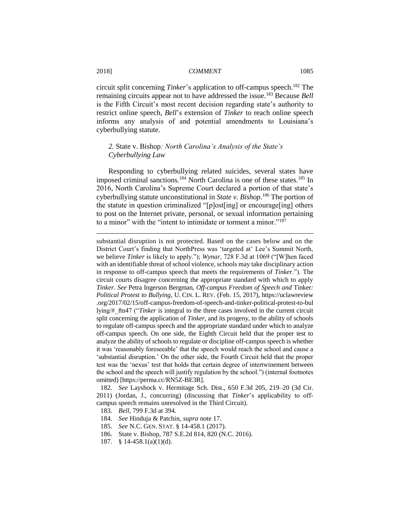circuit split concerning *Tinker*'s application to off-campus speech.<sup>182</sup> The remaining circuits appear not to have addressed the issue.<sup>183</sup> Because *Bell* is the Fifth Circuit's most recent decision regarding state's authority to restrict online speech, *Bell*'s extension of *Tinker* to reach online speech informs any analysis of and potential amendments to Louisiana's cyberbullying statute.

# *2.* State v. Bishop*: North Carolina's Analysis of the State's Cyberbullying Law*

Responding to cyberbullying related suicides, several states have imposed criminal sanctions.<sup>184</sup> North Carolina is one of these states.<sup>185</sup> In 2016, North Carolina's Supreme Court declared a portion of that state's cyberbullying statute unconstitutional in *State v. Bishop*. <sup>186</sup> The portion of the statute in question criminalized "[p]ost[ing] or encourage[ing] others to post on the Internet private, personal, or sexual information pertaining to a minor" with the "intent to intimidate or torment a minor."<sup>187</sup>

substantial disruption is not protected. Based on the cases below and on the District Court's finding that NorthPress was 'targeted at' Lee's Summit North, we believe *Tinker* is likely to apply."); *Wynar*, 728 F.3d at 1069 ("[W]hen faced with an identifiable threat of school violence, schools may take disciplinary action in response to off-campus speech that meets the requirements of *Tinker*."). The circuit courts disagree concerning the appropriate standard with which to apply *Tinker*. *See* Petra Ingerson Bergman, *Off-campus Freedom of Speech and* Tinker*: Political Protest to Bullying*, U. CIN. L. REV. (Feb. 15, 2017), https://uclawreview .org/2017/02/15/off-campus-freedom-of-speech-and-tinker-political-protest-to-bul lying/#\_ftn47 ("*Tinker* is integral to the three cases involved in the current circuit split concerning the application of *Tinker*, and its progeny, to the ability of schools to regulate off-campus speech and the appropriate standard under which to analyze off-campus speech. On one side, the Eighth Circuit held that the proper test to analyze the ability of schools to regulate or discipline off-campus speech is whether it was 'reasonably foreseeable' that the speech would reach the school and cause a 'substantial disruption.' On the other side, the Fourth Circuit held that the proper test was the 'nexus' test that holds that certain degree of intertwinement between the school and the speech will justify regulation by the school.") (internal footnotes omitted) [https://perma.cc/RN5Z-BE3R].

182. *See* Layshock v. Hermitage Sch. Dist., 650 F.3d 205, 219–20 (3d Cir. 2011) (Jordan, J., concurring) (discussing that *Tinker*'s applicability to offcampus speech remains unresolved in the Third Circuit).

- 183. *Bell*, 799 F.3d at 394.
- 184. *See* Hinduja & Patchin, *supra* note 17.
- 185. *See* N.C. GEN. STAT. § 14-458.1 (2017).
- 186. State v. Bishop, 787 S.E.2d 814, 820 (N.C. 2016).
- 187. § 14-458.1(a)(1)(d).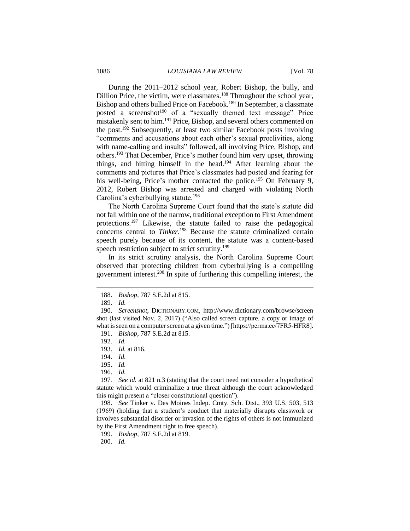#### 1086 *LOUISIANA LAW REVIEW* [Vol. 78

During the 2011–2012 school year, Robert Bishop, the bully, and Dillion Price, the victim, were classmates.<sup>188</sup> Throughout the school year, Bishop and others bullied Price on Facebook.<sup>189</sup> In September, a classmate posted a screenshot<sup>190</sup> of a "sexually themed text message" Price mistakenly sent to him.<sup>191</sup> Price, Bishop, and several others commented on the post.<sup>192</sup> Subsequently, at least two similar Facebook posts involving "comments and accusations about each other's sexual proclivities, along with name-calling and insults" followed, all involving Price, Bishop, and others.<sup>193</sup> That December, Price's mother found him very upset, throwing things, and hitting himself in the head.<sup>194</sup> After learning about the comments and pictures that Price's classmates had posted and fearing for his well-being, Price's mother contacted the police.<sup>195</sup> On February 9, 2012, Robert Bishop was arrested and charged with violating North Carolina's cyberbullying statute.<sup>196</sup>

The North Carolina Supreme Court found that the state's statute did not fall within one of the narrow, traditional exception to First Amendment protections.<sup>197</sup> Likewise, the statute failed to raise the pedagogical concerns central to *Tinker*. <sup>198</sup> Because the statute criminalized certain speech purely because of its content, the statute was a content-based speech restriction subject to strict scrutiny.<sup>199</sup>

In its strict scrutiny analysis, the North Carolina Supreme Court observed that protecting children from cyberbullying is a compelling government interest.<sup>200</sup> In spite of furthering this compelling interest, the

 $\overline{a}$ 

198. *See* Tinker v. Des Moines Indep. Cmty. Sch. Dist., 393 U.S. 503, 513 (1969) (holding that a student's conduct that materially disrupts classwork or involves substantial disorder or invasion of the rights of others is not immunized by the First Amendment right to free speech).

200. *Id.*

<sup>188.</sup> *Bishop*, 787 S.E.2d at 815.

<sup>189.</sup> *Id.*

<sup>190.</sup> *Screenshot*, DICTIONARY.COM, http://www.dictionary.com/browse/screen shot (last visited Nov. 2, 2017) ("Also called screen capture. a copy or image of what is seen on a computer screen at a given time.") [https://perma.cc/7FR5-HFR8].

<sup>191.</sup> *Bishop*, 787 S.E.2d at 815.

<sup>192.</sup> *Id.*

<sup>193.</sup> *Id.* at 816.

<sup>194.</sup> *Id.*

<sup>195.</sup> *Id.*

<sup>196.</sup> *Id.*

<sup>197</sup>*. See id.* at 821 n.3 (stating that the court need not consider a hypothetical statute which would criminalize a true threat although the court acknowledged this might present a "closer constitutional question").

<sup>199.</sup> *Bishop*, 787 S.E.2d at 819.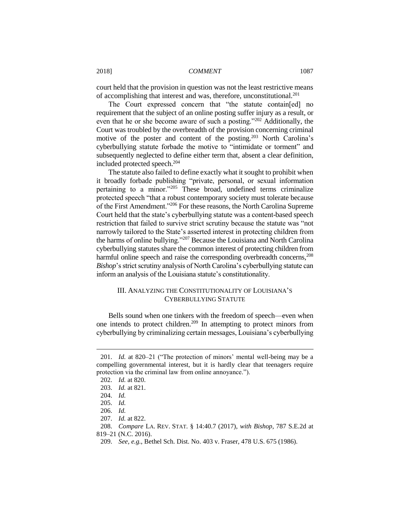court held that the provision in question was not the least restrictive means of accomplishing that interest and was, therefore, unconstitutional.<sup>201</sup>

The Court expressed concern that "the statute contain[ed] no requirement that the subject of an online posting suffer injury as a result, or even that he or she become aware of such a posting."<sup>202</sup> Additionally, the Court was troubled by the overbreadth of the provision concerning criminal motive of the poster and content of the posting.<sup>203</sup> North Carolina's cyberbullying statute forbade the motive to "intimidate or torment" and subsequently neglected to define either term that, absent a clear definition, included protected speech.<sup>204</sup>

The statute also failed to define exactly what it sought to prohibit when it broadly forbade publishing "private, personal, or sexual information pertaining to a minor."<sup>205</sup> These broad, undefined terms criminalize protected speech "that a robust contemporary society must tolerate because of the First Amendment."<sup>206</sup> For these reasons, the North Carolina Supreme Court held that the state's cyberbullying statute was a content-based speech restriction that failed to survive strict scrutiny because the statute was "not narrowly tailored to the State's asserted interest in protecting children from the harms of online bullying."<sup>207</sup> Because the Louisiana and North Carolina cyberbullying statutes share the common interest of protecting children from harmful online speech and raise the corresponding overbreadth concerns,<sup>208</sup> *Bishop*'s strict scrutiny analysis of North Carolina's cyberbullying statute can inform an analysis of the Louisiana statute's constitutionality.

# III. ANALYZING THE CONSTITUTIONALITY OF LOUISIANA'S CYBERBULLYING STATUTE

Bells sound when one tinkers with the freedom of speech—even when one intends to protect children.<sup>209</sup> In attempting to protect minors from cyberbullying by criminalizing certain messages, Louisiana's cyberbullying

<sup>201.</sup> *Id.* at 820–21 ("The protection of minors' mental well-being may be a compelling governmental interest, but it is hardly clear that teenagers require protection via the criminal law from online annoyance.").

<sup>202.</sup> *Id.* at 820.

<sup>203.</sup> *Id.* at 821.

<sup>204.</sup> *Id.*

<sup>205.</sup> *Id.*

<sup>206.</sup> *Id.*

<sup>207.</sup> *Id.* at 822.

<sup>208.</sup> *Compare* LA. REV. STAT. § 14:40.7 (2017), *with Bishop*, 787 S.E.2d at 819–21 (N.C. 2016).

<sup>209.</sup> *See, e.g.*, Bethel Sch. Dist. No. 403 v. Fraser, 478 U.S. 675 (1986).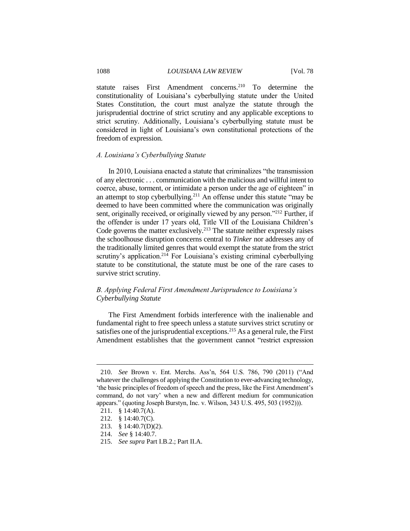statute raises First Amendment concerns.<sup>210</sup> To determine the constitutionality of Louisiana's cyberbullying statute under the United States Constitution, the court must analyze the statute through the jurisprudential doctrine of strict scrutiny and any applicable exceptions to strict scrutiny. Additionally, Louisiana's cyberbullying statute must be considered in light of Louisiana's own constitutional protections of the freedom of expression.

#### *A. Louisiana's Cyberbullying Statute*

In 2010, Louisiana enacted a statute that criminalizes "the transmission of any electronic . . . communication with the malicious and willful intent to coerce, abuse, torment, or intimidate a person under the age of eighteen" in an attempt to stop cyberbullying. $2^{11}$  An offense under this statute "may be deemed to have been committed where the communication was originally sent, originally received, or originally viewed by any person."<sup>212</sup> Further, if the offender is under 17 years old, Title VII of the Louisiana Children's Code governs the matter exclusively.<sup>213</sup> The statute neither expressly raises the schoolhouse disruption concerns central to *Tinker* nor addresses any of the traditionally limited genres that would exempt the statute from the strict scrutiny's application.<sup>214</sup> For Louisiana's existing criminal cyberbullying statute to be constitutional, the statute must be one of the rare cases to survive strict scrutiny.

# *B. Applying Federal First Amendment Jurisprudence to Louisiana's Cyberbullying Statute*

The First Amendment forbids interference with the inalienable and fundamental right to free speech unless a statute survives strict scrutiny or satisfies one of the jurisprudential exceptions.<sup>215</sup> As a general rule, the First Amendment establishes that the government cannot "restrict expression

<sup>210.</sup> *See* Brown v. Ent. Merchs. Ass'n, 564 U.S. 786, 790 (2011) ("And whatever the challenges of applying the Constitution to ever-advancing technology, 'the basic principles of freedom of speech and the press, like the First Amendment's command, do not vary' when a new and different medium for communication appears." (quoting Joseph Burstyn, Inc. v. Wilson, 343 U.S. 495, 503 (1952))).

<sup>211.</sup> § 14:40.7(A).

<sup>212.</sup> § 14:40.7(C).

<sup>213.</sup> § 14:40.7(D)(2).

<sup>214.</sup> *See* § 14:40.7.

<sup>215.</sup> *See supra* Part I.B.2.; Part II.A.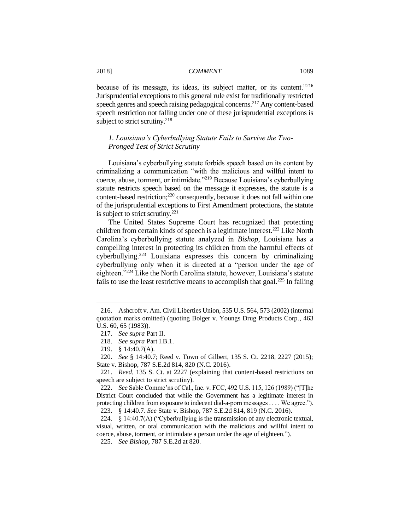because of its message, its ideas, its subject matter, or its content."<sup>216</sup> Jurisprudential exceptions to this general rule exist for traditionally restricted speech genres and speech raising pedagogical concerns.<sup>217</sup> Any content-based speech restriction not falling under one of these jurisprudential exceptions is subject to strict scrutiny.<sup>218</sup>

# *1. Louisiana's Cyberbullying Statute Fails to Survive the Two-Pronged Test of Strict Scrutiny*

Louisiana's cyberbullying statute forbids speech based on its content by criminalizing a communication "with the malicious and willful intent to coerce, abuse, torment, or intimidate."<sup>219</sup> Because Louisiana's cyberbullying statute restricts speech based on the message it expresses, the statute is a content-based restriction;<sup>220</sup> consequently, because it does not fall within one of the jurisprudential exceptions to First Amendment protections, the statute is subject to strict scrutiny. $^{221}$ 

The United States Supreme Court has recognized that protecting children from certain kinds of speech is a legitimate interest.<sup>222</sup> Like North Carolina's cyberbullying statute analyzed in *Bishop*, Louisiana has a compelling interest in protecting its children from the harmful effects of cyberbullying.<sup>223</sup> Louisiana expresses this concern by criminalizing cyberbullying only when it is directed at a "person under the age of eighteen."<sup>224</sup> Like the North Carolina statute, however, Louisiana's statute fails to use the least restrictive means to accomplish that goal.<sup>225</sup> In failing

<sup>216.</sup> Ashcroft v. Am. Civil Liberties Union, 535 U.S. 564, 573 (2002) (internal quotation marks omitted) (quoting Bolger v. Youngs Drug Products Corp., 463 U.S. 60, 65 (1983)).

<sup>217.</sup> *See supra* Part II.

<sup>218.</sup> *See supra* Part I.B.1.

<sup>219.</sup> § 14:40.7(A).

<sup>220.</sup> *See* § 14:40.7; Reed v. Town of Gilbert, 135 S. Ct. 2218, 2227 (2015); State v. Bishop, 787 S.E.2d 814, 820 (N.C. 2016).

<sup>221.</sup> *Reed*, 135 S. Ct. at 2227 (explaining that content-based restrictions on speech are subject to strict scrutiny).

<sup>222.</sup> *See* Sable Commc'ns of Cal., Inc. v. FCC, 492 U.S. 115, 126 (1989) ("[T]he District Court concluded that while the Government has a legitimate interest in protecting children from exposure to indecent dial-a-porn messages . . . . We agree.").

<sup>223.</sup> § 14:40.7. *See* State v. Bishop, 787 S.E.2d 814, 819 (N.C. 2016).

<sup>224.</sup>  $\S$  14:40.7(A) ("Cyberbullying is the transmission of any electronic textual, visual, written, or oral communication with the malicious and willful intent to coerce, abuse, torment, or intimidate a person under the age of eighteen.").

<sup>225.</sup> *See Bishop*, 787 S.E.2d at 820.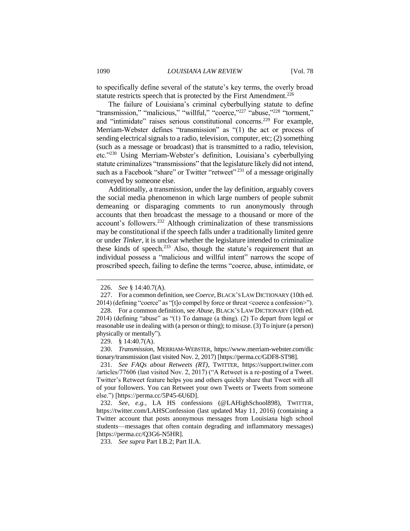to specifically define several of the statute's key terms, the overly broad statute restricts speech that is protected by the First Amendment.<sup>226</sup>

The failure of Louisiana's criminal cyberbullying statute to define "transmission," "malicious," "willful," "coerce,"<sup>227</sup> "abuse,"<sup>228</sup> "torment," and "intimidate" raises serious constitutional concerns.<sup>229</sup> For example, Merriam-Webster defines "transmission" as "(1) the act or process of sending electrical signals to a radio, television, computer, etc; (2) something (such as a message or broadcast) that is transmitted to a radio, television, etc."<sup>230</sup> Using Merriam-Webster's definition, Louisiana's cyberbullying statute criminalizes "transmissions" that the legislature likely did not intend, such as a Facebook "share" or Twitter "retweet"<sup>231</sup> of a message originally conveyed by someone else.

Additionally, a transmission, under the lay definition, arguably covers the social media phenomenon in which large numbers of people submit demeaning or disparaging comments to run anonymously through accounts that then broadcast the message to a thousand or more of the account's followers.<sup>232</sup> Although criminalization of these transmissions may be constitutional if the speech falls under a traditionally limited genre or under *Tinker*, it is unclear whether the legislature intended to criminalize these kinds of speech. $233$  Also, though the statute's requirement that an individual possess a "malicious and willful intent" narrows the scope of proscribed speech, failing to define the terms "coerce, abuse, intimidate, or

<sup>226.</sup> *See* § 14:40.7(A).

<sup>227.</sup> For a common definition, see *Coerce*, BLACK'S LAW DICTIONARY (10th ed. 2014) (defining "coerce" as "[t]o compel by force or threat <coerce a confession>").

<sup>228.</sup> For a common definition, see *Abuse*, BLACK'S LAW DICTIONARY (10th ed. 2014) (defining "abuse" as "(1) To damage (a thing). (2) To depart from legal or reasonable use in dealing with (a person or thing); to misuse. (3) To injure (a person) physically or mentally").

<sup>229.</sup> § 14:40.7(A).

<sup>230.</sup> *Transmission*, MERRIAM-WEBSTER, https://www.merriam-webster.com/dic tionary/transmission (last visited Nov. 2, 2017) [https://perma.cc/GDF8-ST98].

<sup>231.</sup> *See FAQs about Retweets (RT)*, TWITTER, https://support.twitter.com /articles/77606 (last visited Nov. 2, 2017) ("A Retweet is a re-posting of a Tweet. Twitter's Retweet feature helps you and others quickly share that Tweet with all of your followers. You can Retweet your own Tweets or Tweets from someone else.") [https://perma.cc/5P45-6U6D].

<sup>232.</sup> *See, e.g.*, LA HS confessions (@LAHighSchool898), TWITTER, https://twitter.com/LAHSConfession (last updated May 11, 2016) (containing a Twitter account that posts anonymous messages from Louisiana high school students—messages that often contain degrading and inflammatory messages) [https://perma.cc/Q3G6-N5HR].

<sup>233.</sup> *See supra* Part I.B.2; Part II.A.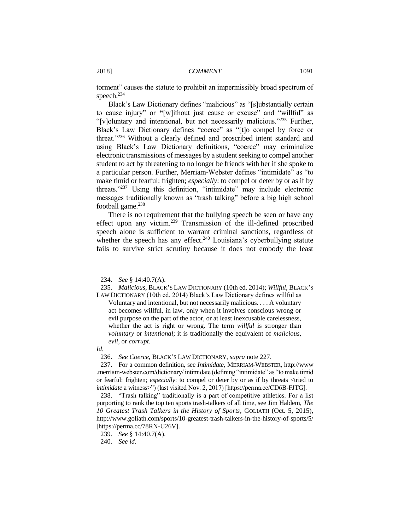torment" causes the statute to prohibit an impermissibly broad spectrum of speech.<sup>234</sup>

Black's Law Dictionary defines "malicious" as "[s]ubstantially certain to cause injury" or **"**[w]ithout just cause or excuse" and "willful" as "[v]oluntary and intentional, but not necessarily malicious."<sup>235</sup> Further, Black's Law Dictionary defines "coerce" as "[t]o compel by force or threat."<sup>236</sup> Without a clearly defined and proscribed intent standard and using Black's Law Dictionary definitions, "coerce" may criminalize electronic transmissions of messages by a student seeking to compel another student to act by threatening to no longer be friends with her if she spoke to a particular person. Further, Merriam-Webster defines "intimidate" as "to make timid or fearful[: frighten;](http://www.merriam-webster.com/dictionary/frighten) *especially*: to compel or deter by or as if by threats."<sup>237</sup> Using this definition, "intimidate" may include electronic messages traditionally known as "trash talking" before a big high school football game. $238$ 

There is no requirement that the bullying speech be seen or have any effect upon any victim.<sup>239</sup> Transmission of the ill-defined proscribed speech alone is sufficient to warrant criminal sanctions, regardless of whether the speech has any effect.<sup>240</sup> Louisiana's cyberbullying statute fails to survive strict scrutiny because it does not embody the least

#### *Id.*

<sup>234.</sup> *See* § 14:40.7(A).

<sup>235.</sup> *Malicious*, BLACK'S LAW DICTIONARY (10th ed. 2014); *Willful*, BLACK'S LAW DICTIONARY (10th ed. 2014) Black's Law Dictionary defines willful as

Voluntary and intentional, but not necessarily malicious. . . . A voluntary act becomes willful, in law, only when it involves conscious wrong or evil purpose on the part of the actor, or at least inexcusable carelessness, whether the act is right or wrong. The term *willful* is stronger than *voluntary* or *intentional*; it is traditionally the equivalent of *malicious*, *evil*, or *corrupt*.

<sup>236.</sup> *See Coerce*, BLACK'S LAW DICTIONARY, *supra* note 227.

<sup>237.</sup> For a common definition, see *Intimidate*, MERRIAM-WEBSTER, http://www .merriam-webster.com/dictionary/ intimidate (defining "intimidate" as "to make timid or fearful: frighten; *especially*: to compel or deter by or as if by threats <tried to *intimidate* a witness>") (last visited Nov. 2, 2017) [https://perma.cc/CD6B-FJTG].

<sup>238.</sup> "Trash talking" traditionally is a part of competitive athletics. For a list purporting to rank the top ten sports trash-talkers of all time, see Jim Haldem, *The 10 Greatest Trash Talkers in the History of Sports*, GOLIATH (Oct. 5, 2015), http://www.goliath.com/sports/10-greatest-trash-talkers-in-the-history-of-sports/5/ [https://perma.cc/78RN-U26V].

<sup>239.</sup> *See* § 14:40.7(A).

<sup>240.</sup> *See id.*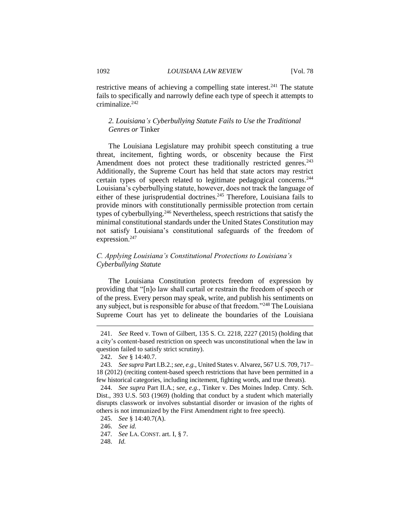restrictive means of achieving a compelling state interest.<sup>241</sup> The statute fails to specifically and narrowly define each type of speech it attempts to criminalize.<sup>242</sup>

# *2. Louisiana's Cyberbullying Statute Fails to Use the Traditional Genres or* Tinker

The Louisiana Legislature may prohibit speech constituting a true threat, incitement, fighting words, or obscenity because the First Amendment does not protect these traditionally restricted genres.<sup>243</sup> Additionally, the Supreme Court has held that state actors may restrict certain types of speech related to legitimate pedagogical concerns.<sup>244</sup> Louisiana's cyberbullying statute, however, does not track the language of either of these jurisprudential doctrines.<sup>245</sup> Therefore, Louisiana fails to provide minors with constitutionally permissible protection from certain types of cyberbullying.<sup>246</sup> Nevertheless, speech restrictions that satisfy the minimal constitutional standards under the United States Constitution may not satisfy Louisiana's constitutional safeguards of the freedom of expression.<sup>247</sup>

# *C. Applying Louisiana's Constitutional Protections to Louisiana's Cyberbullying Statute*

The Louisiana Constitution protects freedom of expression by providing that "[n]o law shall curtail or restrain the freedom of speech or of the press. Every person may speak, write, and publish his sentiments on any subject, but is responsible for abuse of that freedom."<sup>248</sup> The Louisiana Supreme Court has yet to delineate the boundaries of the Louisiana

 $\overline{a}$ 

248. *Id.*

<sup>241.</sup> *See* Reed v. Town of Gilbert, 135 S. Ct. 2218, 2227 (2015) (holding that a city's content-based restriction on speech was unconstitutional when the law in question failed to satisfy strict scrutiny).

<sup>242.</sup> *See* § 14:40.7.

<sup>243.</sup> *See supra* Part I.B.2.;*see, e.g.*, United States v. Alvarez, 567 U.S. 709, 717– 18 (2012) (reciting content-based speech restrictions that have been permitted in a few historical categories, including incitement, fighting words, and true threats).

<sup>244.</sup> *See supra* Part II.A.; s*ee, e.g.*, Tinker v. Des Moines Indep. Cmty. Sch. Dist., 393 U.S. 503 (1969) (holding that conduct by a student which materially disrupts classwork or involves substantial disorder or invasion of the rights of others is not immunized by the First Amendment right to free speech).

<sup>245.</sup> *See* § 14:40.7(A).

<sup>246.</sup> *See id.*

<sup>247</sup>*. See* LA. CONST. art. I, § 7.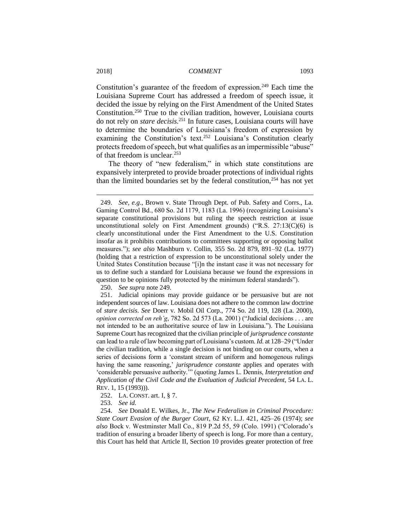$\overline{a}$ 

Constitution's guarantee of the freedom of expression.<sup>249</sup> Each time the Louisiana Supreme Court has addressed a freedom of speech issue, it decided the issue by relying on the First Amendment of the United States Constitution.<sup>250</sup> True to the civilian tradition, however, Louisiana courts do not rely on *stare decisis*. <sup>251</sup> In future cases, Louisiana courts will have to determine the boundaries of Louisiana's freedom of expression by examining the Constitution's text.<sup>252</sup> Louisiana's Constitution clearly protects freedom of speech, but what qualifies as an impermissible "abuse" of that freedom is unclear.<sup>253</sup>

The theory of "new federalism," in which state constitutions are expansively interpreted to provide broader protections of individual rights than the limited boundaries set by the federal constitution,  $254$  has not yet

250. *See supra* note 249.

253. *See id.*

254. *See* Donald E. Wilkes, Jr., *The New Federalism in Criminal Procedure: State Court Evasion of the Burger Court*, 62 KY. L.J. 421, 425–26 (1974); *see also* Bock v. Westminster Mall Co., 819 P.2d 55, 59 (Colo. 1991) ("Colorado's tradition of ensuring a broader liberty of speech is long. For more than a century, this Court has held that Article II, Section 10 provides greater protection of free

<sup>249.</sup> *See, e.g*., Brown v. State Through Dept. of Pub. Safety and Corrs., La. Gaming Control Bd., 680 So. 2d 1179, 1183 (La. 1996) (recognizing Louisiana's separate constitutional provisions but ruling the speech restriction at issue unconstitutional solely on First Amendment grounds) ( $R.S. 27:13(C)(6)$  is clearly unconstitutional under the First Amendment to the U.S. Constitution insofar as it prohibits contributions to committees supporting or opposing ballot measures."); *see also* Mashburn v. Collin, 355 So. 2d 879, 891–92 (La. 1977) (holding that a restriction of expression to be unconstitutional solely under the United States Constitution because "[i]n the instant case it was not necessary for us to define such a standard for Louisiana because we found the expressions in question to be opinions fully protected by the minimum federal standards").

<sup>251.</sup> Judicial opinions may provide guidance or be persuasive but are not independent sources of law. Louisiana does not adhere to the common law doctrine of *stare decisis*. *See* Doerr v. Mobil Oil Corp., 774 So. 2d 119, 128 (La. 2000), *opinion corrected on reh'g*, 782 So. 2d 573 (La. 2001) ("Judicial decisions . . . are not intended to be an authoritative source of law in Louisiana."). The Louisiana Supreme Court has recognized that the civilian principle of *jurisprudence constante* can lead to a rule of law becoming part of Louisiana's custom. *Id.* at 128–29 ("Under the civilian tradition, while a single decision is not binding on our courts, when a series of decisions form a 'constant stream of uniform and homogenous rulings having the same reasoning,' *jurisprudence constante* applies and operates with 'considerable persuasive authority.'" (quoting James L. Dennis, *Interpretation and Application of the Civil Code and the Evaluation of Judicial Precedent*, 54 LA. L. REV. 1, 15 (1993))).

<sup>252.</sup> LA. CONST. art. I, § 7.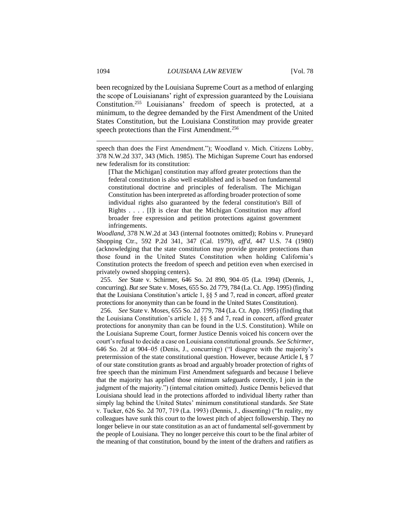been recognized by the Louisiana Supreme Court as a method of enlarging the scope of Louisianans' right of expression guaranteed by the Louisiana Constitution.<sup>255</sup> Louisianans' freedom of speech is protected, at a minimum, to the degree demanded by the First Amendment of the United States Constitution, but the Louisiana Constitution may provide greater speech protections than the First Amendment.<sup>256</sup>

speech than does the First Amendment."); Woodland v. Mich. Citizens Lobby, 378 N.W.2d 337, 343 (Mich. 1985). The Michigan Supreme Court has endorsed new federalism for its constitution:

[That the Michigan] constitution may afford greater protections than the federal constitution is also well established and is based on fundamental constitutional doctrine and principles of federalism. The Michigan Constitution has been interpreted as affording broader protection of some individual rights also guaranteed by the federal constitution's Bill of Rights . . . . [I]t is clear that the Michigan Constitution may afford broader free expression and petition protections against government infringements.

*Woodland*, 378 N.W.2d at 343 (internal footnotes omitted); Robins v. Pruneyard Shopping Ctr., 592 P.2d 341, 347 (Cal. 1979), *aff'd*, 447 U.S. 74 (1980) (acknowledging that the state constitution may provide greater protections than those found in the United States Constitution when holding California's Constitution protects the freedom of speech and petition even when exercised in privately owned shopping centers).

255. *See* State v. Schirmer, 646 So. 2d 890, 904–05 (La. 1994) (Dennis, J., concurring). *But see* State v. Moses, 655 So. 2d 779, 784 (La. Ct. App. 1995) (finding that the Louisiana Constitution's article 1, §§ 5 and 7, read in concert, afford greater protections for anonymity than can be found in the United States Constitution).

256. *See* State v. Moses, 655 So. 2d 779, 784 (La. Ct. App. 1995) (finding that the Louisiana Constitution's article 1, §§ 5 and 7, read in concert, afford greater protections for anonymity than can be found in the U.S. Constitution). While on the Louisiana Supreme Court, former Justice Dennis voiced his concern over the court's refusal to decide a case on Louisiana constitutional grounds. *See Schirmer*, 646 So. 2d at 904–05 (Denis, J., concurring) ("I disagree with the majority's pretermission of the state constitutional question. However, because Article I, § 7 of our state constitution grants as broad and arguably broader protection of rights of free speech than the minimum First Amendment safeguards and because I believe that the majority has applied those minimum safeguards correctly, I join in the judgment of the majority.") (internal citation omitted). Justice Dennis believed that Louisiana should lead in the protections afforded to individual liberty rather than simply lag behind the United States' minimum constitutional standards. *See* State v. Tucker, 626 So. 2d 707, 719 (La. 1993) (Dennis, J., dissenting) ("In reality, my colleagues have sunk this court to the lowest pitch of abject followership. They no longer believe in our state constitution as an act of fundamental self-government by the people of Louisiana. They no longer perceive this court to be the final arbiter of the meaning of that constitution, bound by the intent of the drafters and ratifiers as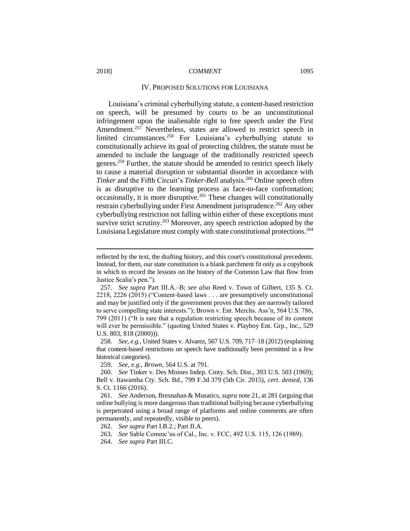#### IV. PROPOSED SOLUTIONS FOR LOUISIANA

Louisiana's criminal cyberbullying statute, a content-based restriction on speech, will be presumed by courts to be an unconstitutional infringement upon the inalienable right to free speech under the First Amendment.<sup>257</sup> Nevertheless, states are allowed to restrict speech in limited circumstances.<sup>258</sup> For Louisiana's cyberbullying statute to constitutionally achieve its goal of protecting children, the statute must be amended to include the language of the traditionally restricted speech genres.<sup>259</sup> Further, the statute should be amended to restrict speech likely to cause a material disruption or substantial disorder in accordance with *Tinker* and the Fifth Circuit's *Tinker-Bell* analysis.<sup>260</sup> Online speech often is as disruptive to the learning process as face-to-face confrontation; occasionally, it is more disruptive.<sup>261</sup> These changes will constitutionally restrain cyberbullying under First Amendment jurisprudence.<sup>262</sup> Any other cyberbullying restriction not falling within either of these exceptions must survive strict scrutiny.<sup>263</sup> Moreover, any speech restriction adopted by the Louisiana Legislature must comply with state constitutional protections.<sup>264</sup>

258. *See, e.g.*, United States v. Alvarez, 567 U.S. 709, 717–18 (2012) (explaining that content-based restrictions on speech have traditionally been permitted in a few historical categories).

259. *See, e.g.*, *Brown*, 564 U.S. at 791.

- 263. *See* Sable Commc'ns of Cal., Inc. v. FCC, 492 U.S. 115, 126 (1989).
- 264. *See supra* Part III.C.

reflected by the text, the drafting history, and this court's constitutional precedents. Instead, for them, our state constitution is a blank parchment fit only as a copybook in which to record the lessons on the history of the Common Law that flow from Justice Scalia's pen.").

<sup>257.</sup> *See supra* Part III.A.–B; *see also* Reed v. Town of Gilbert, 135 S. Ct. 2218, 2226 (2015) ("Content-based laws . . . are presumptively unconstitutional and may be justified only if the government proves that they are narrowly tailored to serve compelling state interests."); Brown v. Ent. Merchs. Ass'n, 564 U.S. 786, 799 (2011) ("It is rare that a regulation restricting speech because of its content will ever be permissible." (quoting United States v. Playboy Ent. Grp., Inc., 529 U.S. 803, 818 (2000))).

<sup>260.</sup> *See* Tinker v. Des Moines Indep. Cmty. Sch. Dist., 393 U.S. 503 (1969); Bell v. Itawamba Cty. Sch. Bd., 799 F.3d 379 (5th Cir. 2015), *cert. denied*, 136 S. Ct. 1166 (2016).

<sup>261.</sup> *See* Anderson, Bresnahan & Musatics, *supra* note 21, at 281 (arguing that online bullying is more dangerous than traditional bullying because cyberbullying is perpetrated using a broad range of platforms and online comments are often permanently, and repeatedly, visible to peers).

<sup>262.</sup> *See supra* Part I.B.2.; Part II.A.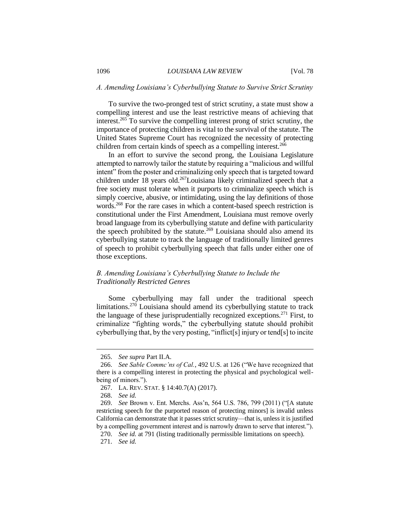# *A. Amending Louisiana's Cyberbullying Statute to Survive Strict Scrutiny*

To survive the two-pronged test of strict scrutiny, a state must show a compelling interest and use the least restrictive means of achieving that interest. <sup>265</sup> To survive the compelling interest prong of strict scrutiny, the importance of protecting children is vital to the survival of the statute. The United States Supreme Court has recognized the necessity of protecting children from certain kinds of speech as a compelling interest.<sup>266</sup>

In an effort to survive the second prong, the Louisiana Legislature attempted to narrowly tailor the statute by requiring a "malicious and willful intent" from the poster and criminalizing only speech that is targeted toward children under 18 years old.<sup>267</sup>Louisiana likely criminalized speech that a free society must tolerate when it purports to criminalize speech which is simply coercive, abusive, or intimidating, using the lay definitions of those words.<sup>268</sup> For the rare cases in which a content-based speech restriction is constitutional under the First Amendment, Louisiana must remove overly broad language from its cyberbullying statute and define with particularity the speech prohibited by the statute.<sup>269</sup> Louisiana should also amend its cyberbullying statute to track the language of traditionally limited genres of speech to prohibit cyberbullying speech that falls under either one of those exceptions.

# *B. Amending Louisiana's Cyberbullying Statute to Include the Traditionally Restricted Genres*

Some cyberbullying may fall under the traditional speech limitations.<sup>270</sup> Louisiana should amend its cyberbullying statute to track the language of these jurisprudentially recognized exceptions.<sup>271</sup> First, to criminalize "fighting words," the cyberbullying statute should prohibit cyberbullying that, by the very posting, "inflict[s] injury or tend[s] to incite

<sup>265.</sup> *See supra* Part II.A.

<sup>266.</sup> *See Sable Commc'ns of Cal.*, 492 U.S. at 126 ("We have recognized that there is a compelling interest in protecting the physical and psychological wellbeing of minors.").

<sup>267.</sup> LA. REV. STAT. § 14:40.7(A) (2017).

<sup>268.</sup> *See id.*

<sup>269.</sup> *See* Brown v. Ent. Merchs. Ass'n, 564 U.S. 786, 799 (2011) ("[A statute restricting speech for the purported reason of protecting minors] is invalid unless California can demonstrate that it passes strict scrutiny—that is, unless it is justified by a compelling government interest and is narrowly drawn to serve that interest.").

<sup>270.</sup> *See id.* at 791 (listing traditionally permissible limitations on speech).

<sup>271.</sup> *See id.*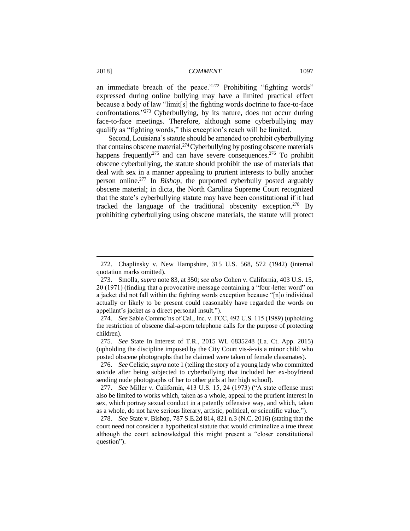an immediate breach of the peace."<sup>272</sup> Prohibiting "fighting words" expressed during online bullying may have a limited practical effect because a body of law "limit[s] the fighting words doctrine to face-to-face confrontations."<sup>273</sup> Cyberbullying, by its nature, does not occur during face-to-face meetings. Therefore, although some cyberbullying may qualify as "fighting words," this exception's reach will be limited.

Second, Louisiana's statute should be amended to prohibit cyberbullying that contains obscene material.<sup>274</sup> Cyberbullying by posting obscene materials happens frequently<sup>275</sup> and can have severe consequences.<sup>276</sup> To prohibit obscene cyberbullying, the statute should prohibit the use of materials that deal with sex in a manner appealing to prurient interests to bully another person online.<sup>277</sup> In *Bishop*, the purported cyberbully posted arguably obscene material; in dicta, the North Carolina Supreme Court recognized that the state's cyberbullying statute may have been constitutional if it had tracked the language of the traditional obscenity exception.<sup>278</sup> By prohibiting cyberbullying using obscene materials, the statute will protect

<sup>272.</sup> Chaplinsky v. New Hampshire, 315 U.S. 568, 572 (1942) (internal quotation marks omitted).

<sup>273.</sup> Smolla, *supra* note 83, at 350; *see also* Cohen v. California, 403 U.S. 15, 20 (1971) (finding that a provocative message containing a "four-letter word" on a jacket did not fall within the fighting words exception because "[n]o individual actually or likely to be present could reasonably have regarded the words on appellant's jacket as a direct personal insult.").

<sup>274.</sup> *See* Sable Commc'ns of Cal., Inc. v. FCC, 492 U.S. 115 (1989) (upholding the restriction of obscene dial-a-porn telephone calls for the purpose of protecting children).

<sup>275.</sup> *See* State In Interest of T.R., 2015 WL 6835248 (La. Ct. App. 2015) (upholding the discipline imposed by the City Court vis-à-vis a minor child who posted obscene photographs that he claimed were taken of female classmates).

<sup>276.</sup> *See* Celizic, *supra* note 1 (telling the story of a young lady who committed suicide after being subjected to cyberbullying that included her ex-boyfriend sending nude photographs of her to other girls at her high school).

<sup>277.</sup> *See* Miller v. California, 413 U.S. 15, 24 (1973) ("A state offense must also be limited to works which, taken as a whole, appeal to the prurient interest in sex, which portray sexual conduct in a patently offensive way, and which, taken as a whole, do not have serious literary, artistic, political, or scientific value.").

<sup>278.</sup> *See* State v. Bishop, 787 S.E.2d 814, 821 n.3 (N.C. 2016) (stating that the court need not consider a hypothetical statute that would criminalize a true threat although the court acknowledged this might present a "closer constitutional question").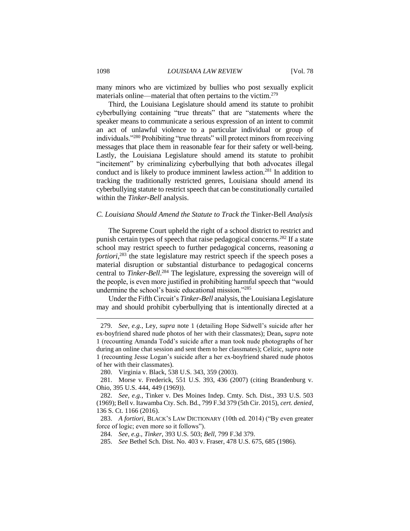many minors who are victimized by bullies who post sexually explicit materials online—material that often pertains to the victim.<sup>279</sup>

Third, the Louisiana Legislature should amend its statute to prohibit cyberbullying containing "true threats" that are "statements where the speaker means to communicate a serious expression of an intent to commit an act of unlawful violence to a particular individual or group of individuals."<sup>280</sup> Prohibiting "true threats" will protect minors from receiving messages that place them in reasonable fear for their safety or well-being. Lastly, the Louisiana Legislature should amend its statute to prohibit "incitement" by criminalizing cyberbullying that both advocates illegal conduct and is likely to produce imminent lawless action.<sup>281</sup> In addition to tracking the traditionally restricted genres, Louisiana should amend its cyberbullying statute to restrict speech that can be constitutionally curtailed within the *Tinker*-*Bell* analysis.

# *C. Louisiana Should Amend the Statute to Track the* Tinker*-*Bell *Analysis*

The Supreme Court upheld the right of a school district to restrict and punish certain types of speech that raise pedagogical concerns.<sup>282</sup> If a state school may restrict speech to further pedagogical concerns, reasoning *a fortiori*<sup>283</sup>, the state legislature may restrict speech if the speech poses a material disruption or substantial disturbance to pedagogical concerns central to *Tinker*-*Bell*. <sup>284</sup> The legislature, expressing the sovereign will of the people, is even more justified in prohibiting harmful speech that "would undermine the school's basic educational mission."<sup>285</sup>

Under the Fifth Circuit's *Tinker*-*Bell* analysis, the Louisiana Legislature may and should prohibit cyberbullying that is intentionally directed at a

<sup>279.</sup> *See, e.g.*, Ley, *supra* note 1 (detailing Hope Sidwell's suicide after her ex-boyfriend shared nude photos of her with their classmates); Dean**,** *supra* note 1 (recounting Amanda Todd's suicide after a man took nude photographs of her during an online chat session and sent them to her classmates); Celizic, *supra* note 1 (recounting Jesse Logan's suicide after a her ex-boyfriend shared nude photos of her with their classmates).

<sup>280.</sup> Virginia v. Black, 538 U.S. 343, 359 (2003).

<sup>281.</sup> Morse v. Frederick, 551 U.S. 393, 436 (2007) (citing Brandenburg v. Ohio, 395 U.S. 444, 449 (1969)).

<sup>282.</sup> *See, e.g.*, Tinker v. Des Moines Indep. Cmty. Sch. Dist., 393 U.S. 503 (1969); Bell v. Itawamba Cty. Sch. Bd., 799 F.3d 379 (5th Cir. 2015), *cert. denied*, 136 S. Ct. 1166 (2016).

<sup>283.</sup> *A fortiori*, BLACK'S LAW DICTIONARY (10th ed. 2014) ("By even greater force of logic; even more so it follows").

<sup>284.</sup> *See, e.g.*, *Tinker*, 393 U.S. 503; *Bell*, 799 F.3d 379.

<sup>285.</sup> *See* Bethel Sch. Dist. No. 403 v. Fraser, 478 U.S. 675, 685 (1986).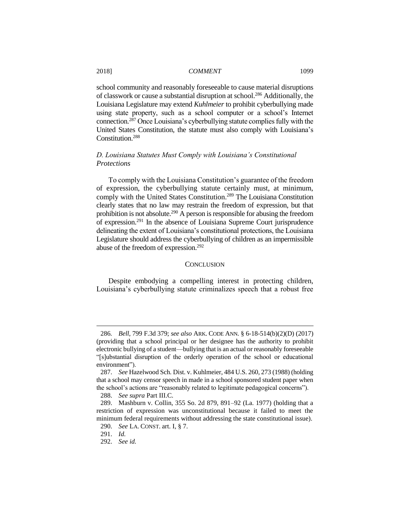school community and reasonably foreseeable to cause material disruptions of classwork or cause a substantial disruption at school.<sup>286</sup> Additionally, the Louisiana Legislature may extend *Kuhlmeier* to prohibit cyberbullying made using state property, such as a school computer or a school's Internet connection.<sup>287</sup> Once Louisiana's cyberbullying statute complies fully with the United States Constitution, the statute must also comply with Louisiana's Constitution.<sup>288</sup>

# *D. Louisiana Statutes Must Comply with Louisiana's Constitutional Protections*

To comply with the Louisiana Constitution's guarantee of the freedom of expression, the cyberbullying statute certainly must, at minimum, comply with the United States Constitution.<sup>289</sup> The Louisiana Constitution clearly states that no law may restrain the freedom of expression, but that prohibition is not absolute.<sup>290</sup> A person is responsible for abusing the freedom of expression.<sup>291</sup> In the absence of Louisiana Supreme Court jurisprudence delineating the extent of Louisiana's constitutional protections, the Louisiana Legislature should address the cyberbullying of children as an impermissible abuse of the freedom of expression.<sup>292</sup>

### **CONCLUSION**

Despite embodying a compelling interest in protecting children, Louisiana's cyberbullying statute criminalizes speech that a robust free

<sup>286</sup>*. Bell*, 799 F.3d 379; *see also* ARK. CODE ANN. § 6-18-514(b)(2)(D) (2017) (providing that a school principal or her designee has the authority to prohibit electronic bullying of a student—bullying that is an actual or reasonably foreseeable "[s]ubstantial disruption of the orderly operation of the school or educational environment").

<sup>287.</sup> *See* Hazelwood Sch. Dist. v. Kuhlmeier, 484 U.S. 260, 273 (1988) (holding that a school may censor speech in made in a school sponsored student paper when the school's actions are "reasonably related to legitimate pedagogical concerns").

<sup>288.</sup> *See supra* Part III.C.

<sup>289.</sup> Mashburn v. Collin, 355 So. 2d 879, 891–92 (La. 1977) (holding that a restriction of expression was unconstitutional because it failed to meet the minimum federal requirements without addressing the state constitutional issue).

<sup>290.</sup> *See* LA. CONST. art. I, § 7.

<sup>291.</sup> *Id.*

<sup>292.</sup> *See id.*